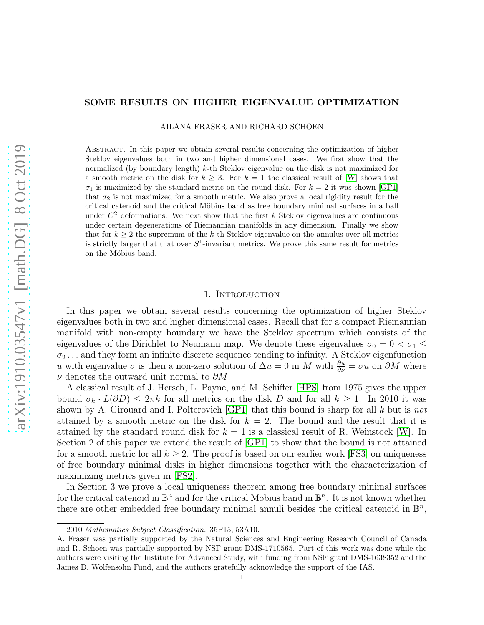# SOME RESULTS ON HIGHER EIGENVALUE OPTIMIZATION

AILANA FRASER AND RICHARD SCHOEN

Abstract. In this paper we obtain several results concerning the optimization of higher Steklov eigenvalues both in two and higher dimensional cases. We first show that the normalized (by boundary length)  $k$ -th Steklov eigenvalue on the disk is not maximized for a smooth metric on the disk for  $k \geq 3$ . For  $k = 1$  the classical result of [\[W\]](#page-24-0) shows that  $\sigma_1$  is maximized by the standard metric on the round disk. For  $k = 2$  it was shown [\[GP1\]](#page-24-1) that  $\sigma_2$  is not maximized for a smooth metric. We also prove a local rigidity result for the critical catenoid and the critical Möbius band as free boundary minimal surfaces in a ball under  $C^2$  deformations. We next show that the first k Steklov eigenvalues are continuous under certain degenerations of Riemannian manifolds in any dimension. Finally we show that for  $k \geq 2$  the supremum of the k-th Steklov eigenvalue on the annulus over all metrics is strictly larger that that over  $S^1$ -invariant metrics. We prove this same result for metrics on the Möbius band.

# 1. INTRODUCTION

In this paper we obtain several results concerning the optimization of higher Steklov eigenvalues both in two and higher dimensional cases. Recall that for a compact Riemannian manifold with non-empty boundary we have the Steklov spectrum which consists of the eigenvalues of the Dirichlet to Neumann map. We denote these eigenvalues  $\sigma_0 = 0 < \sigma_1 \leq$  $\sigma_2 \ldots$  and they form an infinite discrete sequence tending to infinity. A Steklov eigenfunction u with eigenvalue  $\sigma$  is then a non-zero solution of  $\Delta u = 0$  in M with  $\frac{\partial u}{\partial \nu} = \sigma u$  on  $\partial M$  where  $\nu$  denotes the outward unit normal to  $\partial M$ .

A classical result of J. Hersch, L. Payne, and M. Schiffer [\[HPS\]](#page-24-2) from 1975 gives the upper bound  $\sigma_k \cdot L(\partial D) \leq 2\pi k$  for all metrics on the disk D and for all  $k \geq 1$ . In 2010 it was shown by A. Girouard and I. Polterovich  $|GP1|$  that this bound is sharp for all k but is not attained by a smooth metric on the disk for  $k = 2$ . The bound and the result that it is attained by the standard round disk for  $k = 1$  is a classical result of R. Weinstock [\[W\]](#page-24-0). In Section 2 of this paper we extend the result of [\[GP1\]](#page-24-1) to show that the bound is not attained for a smooth metric for all  $k \geq 2$ . The proof is based on our earlier work [\[FS3\]](#page-23-0) on uniqueness of free boundary minimal disks in higher dimensions together with the characterization of maximizing metrics given in [\[FS2\]](#page-23-1).

In Section 3 we prove a local uniqueness theorem among free boundary minimal surfaces for the critical catenoid in  $\mathbb{B}^n$  and for the critical Möbius band in  $\mathbb{B}^n$ . It is not known whether there are other embedded free boundary minimal annuli besides the critical catenoid in  $\mathbb{B}^n$ ,

<sup>2010</sup> Mathematics Subject Classification. 35P15, 53A10.

A. Fraser was partially supported by the Natural Sciences and Engineering Research Council of Canada and R. Schoen was partially supported by NSF grant DMS-1710565. Part of this work was done while the authors were visiting the Institute for Advanced Study, with funding from NSF grant DMS-1638352 and the James D. Wolfensohn Fund, and the authors gratefully acknowledge the support of the IAS.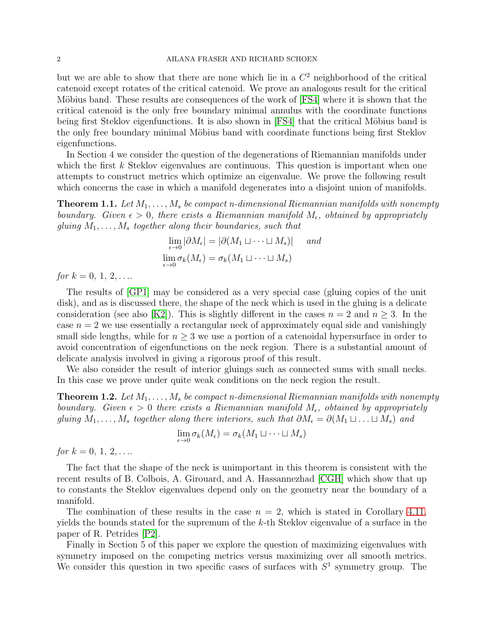#### 2 AILANA FRASER AND RICHARD SCHOEN

but we are able to show that there are none which lie in a  $C<sup>2</sup>$  neighborhood of the critical catenoid except rotates of the critical catenoid. We prove an analogous result for the critical Möbius band. These results are consequences of the work of [\[FS4\]](#page-23-2) where it is shown that the critical catenoid is the only free boundary minimal annulus with the coordinate functions being first Steklov eigenfunctions. It is also shown in [\[FS4\]](#page-23-2) that the critical Möbius band is the only free boundary minimal Möbius band with coordinate functions being first Steklov eigenfunctions.

In Section 4 we consider the question of the degenerations of Riemannian manifolds under which the first  $k$  Steklov eigenvalues are continuous. This question is important when one attempts to construct metrics which optimize an eigenvalue. We prove the following result which concerns the case in which a manifold degenerates into a disjoint union of manifolds.

<span id="page-1-0"></span>**Theorem 1.1.** Let  $M_1, \ldots, M_s$  be compact n-dimensional Riemannian manifolds with nonempty boundary. Given  $\epsilon > 0$ , there exists a Riemannian manifold  $M_{\epsilon}$ , obtained by appropriately gluing  $M_1, \ldots, M_s$  together along their boundaries, such that

$$
\lim_{\epsilon \to 0} |\partial M_{\epsilon}| = |\partial (M_1 \sqcup \dots \sqcup M_s)| \quad \text{and}
$$
\n
$$
\lim_{\epsilon \to 0} \sigma_k(M_{\epsilon}) = \sigma_k(M_1 \sqcup \dots \sqcup M_s)
$$

for  $k = 0, 1, 2, \ldots$ 

The results of [\[GP1\]](#page-24-1) may be considered as a very special case (gluing copies of the unit disk), and as is discussed there, the shape of the neck which is used in the gluing is a delicate consideration (see also [\[K2\]](#page-24-3)). This is slightly different in the cases  $n = 2$  and  $n \geq 3$ . In the case  $n = 2$  we use essentially a rectangular neck of approximately equal side and vanishingly small side lengths, while for  $n \geq 3$  we use a portion of a catenoidal hypersurface in order to avoid concentration of eigenfunctions on the neck region. There is a substantial amount of delicate analysis involved in giving a rigorous proof of this result.

We also consider the result of interior gluings such as connected sums with small necks. In this case we prove under quite weak conditions on the neck region the result.

<span id="page-1-1"></span>**Theorem 1.2.** Let  $M_1, \ldots, M_s$  be compact n-dimensional Riemannian manifolds with nonempty boundary. Given  $\epsilon > 0$  there exists a Riemannian manifold  $M_{\epsilon}$ , obtained by appropriately gluing  $M_1, \ldots, M_s$  together along there interiors, such that  $\partial M_{\epsilon} = \partial (M_1 \sqcup \ldots \sqcup M_s)$  and

$$
\lim_{\epsilon \to 0} \sigma_k(M_{\epsilon}) = \sigma_k(M_1 \sqcup \dots \sqcup M_s)
$$

for  $k = 0, 1, 2, \ldots$ 

The fact that the shape of the neck is unimportant in this theorem is consistent with the recent results of B. Colbois, A. Girouard, and A. Hassannezhad [\[CGH\]](#page-23-3) which show that up to constants the Steklov eigenvalues depend only on the geometry near the boundary of a manifold.

The combination of these results in the case  $n = 2$ , which is stated in Corollary [4.11,](#page-20-0) yields the bounds stated for the supremum of the k-th Steklov eigenvalue of a surface in the paper of R. Petrides [\[P2\]](#page-24-4).

Finally in Section 5 of this paper we explore the question of maximizing eigenvalues with symmetry imposed on the competing metrics versus maximizing over all smooth metrics. We consider this question in two specific cases of surfaces with  $S<sup>1</sup>$  symmetry group. The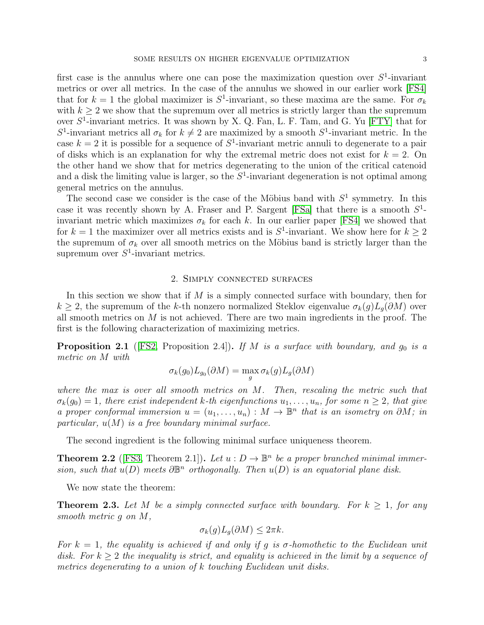first case is the annulus where one can pose the maximization question over  $S^1$ -invariant metrics or over all metrics. In the case of the annulus we showed in our earlier work [\[FS4\]](#page-23-2) that for  $k = 1$  the global maximizer is  $S^1$ -invariant, so these maxima are the same. For  $\sigma_k$ with  $k \geq 2$  we show that the supremum over all metrics is strictly larger than the supremum over  $S^1$ -invariant metrics. It was shown by X. Q. Fan, L. F. Tam, and G. Yu [\[FTY\]](#page-23-4) that for  $S^1$ -invariant metrics all  $\sigma_k$  for  $k \neq 2$  are maximized by a smooth  $S^1$ -invariant metric. In the case  $k = 2$  it is possible for a sequence of  $S^1$ -invariant metric annuli to degenerate to a pair of disks which is an explanation for why the extremal metric does not exist for  $k = 2$ . On the other hand we show that for metrics degenerating to the union of the critical catenoid and a disk the limiting value is larger, so the  $S^1$ -invariant degeneration is not optimal among general metrics on the annulus.

The second case we consider is the case of the Möbius band with  $S<sup>1</sup>$  symmetry. In this case it was recently shown by A. Fraser and P. Sargent [\[FSa\]](#page-23-5) that there is a smooth  $S^1$ invariant metric which maximizes  $\sigma_k$  for each k. In our earlier paper [\[FS4\]](#page-23-2) we showed that for  $k = 1$  the maximizer over all metrics exists and is  $S^1$ -invariant. We show here for  $k \geq 2$ the supremum of  $\sigma_k$  over all smooth metrics on the Möbius band is strictly larger than the supremum over  $S^1$ -invariant metrics.

#### 2. Simply connected surfaces

<span id="page-2-3"></span>In this section we show that if  $M$  is a simply connected surface with boundary, then for  $k \geq 2$ , the supremum of the k-th nonzero normalized Steklov eigenvalue  $\sigma_k(g)L_q(\partial M)$  over all smooth metrics on  $M$  is not achieved. There are two main ingredients in the proof. The first is the following characterization of maximizing metrics.

<span id="page-2-0"></span>**Proposition 2.1** ([\[FS2,](#page-23-1) Proposition 2.4]). If M is a surface with boundary, and  $g_0$  is a metric on M with

$$
\sigma_k(g_0)L_{g_0}(\partial M) = \max_g \sigma_k(g)L_g(\partial M)
$$

where the max is over all smooth metrics on  $M$ . Then, rescaling the metric such that  $\sigma_k(g_0) = 1$ , there exist independent k-th eigenfunctions  $u_1, \ldots, u_n$ , for some  $n \geq 2$ , that give a proper conformal immersion  $u = (u_1, \ldots, u_n) : M \to \mathbb{B}^n$  that is an isometry on  $\partial M$ ; in particular,  $u(M)$  is a free boundary minimal surface.

The second ingredient is the following minimal surface uniqueness theorem.

<span id="page-2-1"></span>**Theorem 2.2** ([\[FS3,](#page-23-0) Theorem 2.1]). Let  $u : D \to \mathbb{B}^n$  be a proper branched minimal immersion, such that  $u(D)$  meets  $\partial \mathbb{B}^n$  orthogonally. Then  $u(D)$  is an equatorial plane disk.

We now state the theorem:

<span id="page-2-2"></span>**Theorem 2.3.** Let M be a simply connected surface with boundary. For  $k \geq 1$ , for any smooth metric g on M,

$$
\sigma_k(g)L_g(\partial M) \leq 2\pi k.
$$

For  $k = 1$ , the equality is achieved if and only if g is  $\sigma$ -homothetic to the Euclidean unit disk. For  $k \geq 2$  the inequality is strict, and equality is achieved in the limit by a sequence of metrics degenerating to a union of k touching Euclidean unit disks.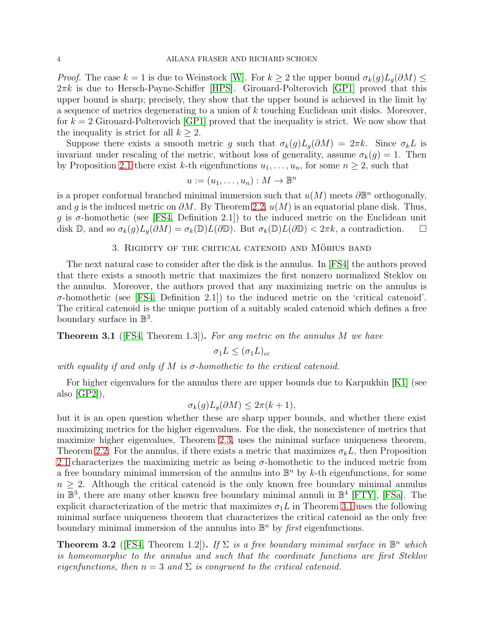*Proof.* The case  $k = 1$  is due to Weinstock [\[W\]](#page-24-0). For  $k \geq 2$  the upper bound  $\sigma_k(g)L_q(\partial M) \leq$  $2\pi k$  is due to Hersch-Payne-Schiffer [\[HPS\]](#page-24-2). Girouard-Polterovich [\[GP1\]](#page-24-1) proved that this upper bound is sharp; precisely, they show that the upper bound is achieved in the limit by a sequence of metrics degenerating to a union of k touching Euclidean unit disks. Moreover, for  $k = 2$  Girouard-Polterovich [\[GP1\]](#page-24-1) proved that the inequality is strict. We now show that the inequality is strict for all  $k \geq 2$ .

Suppose there exists a smooth metric g such that  $\sigma_k(g)L_g(\partial M) = 2\pi k$ . Since  $\sigma_k L$  is invariant under rescaling of the metric, without loss of generality, assume  $\sigma_k(g) = 1$ . Then by Proposition [2.1](#page-2-0) there exist k-th eigenfunctions  $u_1, \ldots, u_n$ , for some  $n \geq 2$ , such that

$$
u:=(u_1,\ldots,u_n):M\to\mathbb{B}^n
$$

is a proper conformal branched minimal immersion such that  $u(M)$  meets  $\partial \mathbb{B}^n$  orthogonally, and g is the induced metric on  $\partial M$ . By Theorem [2.2,](#page-2-1)  $u(M)$  is an equatorial plane disk. Thus, g is  $\sigma$ -homothetic (see [\[FS4,](#page-23-2) Definition 2.1]) to the induced metric on the Euclidean unit disk D, and so  $\sigma_k(g)L_q(\partial M) = \sigma_k(\mathbb{D})L(\partial \mathbb{D})$ . But  $\sigma_k(\mathbb{D})L(\partial \mathbb{D}) < 2\pi k$ , a contradiction.  $\Box$ 

# 3. RIGIDITY OF THE CRITICAL CATENOID AND MÖBIUS BAND

<span id="page-3-2"></span>The next natural case to consider after the disk is the annulus. In [\[FS4\]](#page-23-2) the authors proved that there exists a smooth metric that maximizes the first nonzero normalized Steklov on the annulus. Moreover, the authors proved that any maximizing metric on the annulus is σ-homothetic (see [\[FS4,](#page-23-2) Definition 2.1]) to the induced metric on the 'critical catenoid'. The critical catenoid is the unique portion of a suitably scaled catenoid which defines a free boundary surface in  $\mathbb{B}^3$ .

<span id="page-3-0"></span>**Theorem 3.1** ([\[FS4,](#page-23-2) Theorem 1.3]). For any metric on the annulus M we have

$$
\sigma_1 L \leq (\sigma_1 L)_{cc}
$$

with equality if and only if M is  $\sigma$ -homothetic to the critical catenoid.

For higher eigenvalues for the annulus there are upper bounds due to Karpukhin [\[K1\]](#page-24-5) (see also [\[GP2\]](#page-24-6)),

$$
\sigma_k(g)L_g(\partial M) \leq 2\pi(k+1),
$$

but it is an open question whether these are sharp upper bounds, and whether there exist maximizing metrics for the higher eigenvalues. For the disk, the nonexistence of metrics that maximize higher eigenvalues, Theorem [2.3,](#page-2-2) uses the minimal surface uniqueness theorem, Theorem [2.2.](#page-2-1) For the annulus, if there exists a metric that maximizes  $\sigma_k L$ , then Proposition [2.1](#page-2-0) characterizes the maximizing metric as being  $\sigma$ -homothetic to the induced metric from a free boundary minimal immersion of the annulus into  $\mathbb{B}^n$  by k-th eigenfunctions, for some  $n \geq 2$ . Although the critical catenoid is the only known free boundary minimal annulus in  $\mathbb{B}^3$ , there are many other known free boundary minimal annuli in  $\mathbb{B}^4$  [\[FTY\]](#page-23-4), [\[FSa\]](#page-23-5). The explicit characterization of the metric that maximizes  $\sigma_1 L$  in Theorem [3.1](#page-3-0) uses the following minimal surface uniqueness theorem that characterizes the critical catenoid as the only free boundary minimal immersion of the annulus into  $\mathbb{B}^n$  by *first* eigenfunctions.

<span id="page-3-1"></span>**Theorem 3.2** ([\[FS4,](#page-23-2) Theorem 1.2]). If  $\Sigma$  is a free boundary minimal surface in  $\mathbb{B}^n$  which is homeomorphic to the annulus and such that the coordinate functions are first Steklov eigenfunctions, then  $n = 3$  and  $\Sigma$  is congruent to the critical catenoid.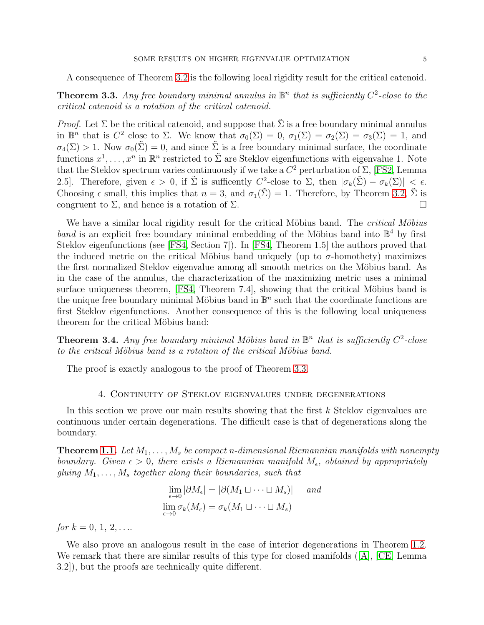A consequence of Theorem [3.2](#page-3-1) is the following local rigidity result for the critical catenoid.

<span id="page-4-0"></span>**Theorem 3.3.** Any free boundary minimal annulus in  $\mathbb{B}^n$  that is sufficiently  $C^2$ -close to the critical catenoid is a rotation of the critical catenoid.

*Proof.* Let  $\Sigma$  be the critical catenoid, and suppose that  $\tilde{\Sigma}$  is a free boundary minimal annulus in  $\mathbb{B}^n$  that is  $C^2$  close to  $\Sigma$ . We know that  $\sigma_0(\Sigma) = 0$ ,  $\sigma_1(\Sigma) = \sigma_2(\Sigma) = \sigma_3(\Sigma) = 1$ , and  $\sigma_4(\Sigma) > 1$ . Now  $\sigma_0(\tilde{\Sigma}) = 0$ , and since  $\tilde{\Sigma}$  is a free boundary minimal surface, the coordinate functions  $x^1, \ldots, x^n$  in  $\mathbb{R}^n$  restricted to  $\tilde{\Sigma}$  are Steklov eigenfunctions with eigenvalue 1. Note that the Steklov spectrum varies continuously if we take a  $C^2$  perturbation of  $\Sigma$ , [\[FS2,](#page-23-1) Lemma 2.5. Therefore, given  $\epsilon > 0$ , if  $\tilde{\Sigma}$  is sufficently  $C^2$ -close to  $\Sigma$ , then  $|\sigma_k(\tilde{\Sigma}) - \sigma_k(\Sigma)| \leq \epsilon$ . Choosing  $\epsilon$  small, this implies that  $n = 3$ , and  $\sigma_1(\tilde{\Sigma}) = 1$ . Therefore, by Theorem [3.2,](#page-3-1)  $\tilde{\Sigma}$  is congruent to  $\Sigma$ , and hence is a rotation of  $\Sigma$ .

We have a similar local rigidity result for the critical Möbius band. The *critical Möbius*  $band$  is an explicit free boundary minimal embedding of the Möbius band into  $\mathbb{B}^4$  by first Steklov eigenfunctions (see [\[FS4,](#page-23-2) Section 7]). In [\[FS4,](#page-23-2) Theorem 1.5] the authors proved that the induced metric on the critical Möbius band uniquely (up to  $\sigma$ -homothety) maximizes the first normalized Steklov eigenvalue among all smooth metrics on the Möbius band. As in the case of the annulus, the characterization of the maximizing metric uses a minimal surface uniqueness theorem,  $[FS4, Theorem 7.4]$ , showing that the critical Möbius band is the unique free boundary minimal Möbius band in  $\mathbb{B}^n$  such that the coordinate functions are first Steklov eigenfunctions. Another consequence of this is the following local uniqueness theorem for the critical Möbius band:

**Theorem 3.4.** Any free boundary minimal Möbius band in  $\mathbb{B}^n$  that is sufficiently  $C^2$ -close to the critical Möbius band is a rotation of the critical Möbius band.

The proof is exactly analogous to the proof of Theorem [3.3.](#page-4-0)

# 4. Continuity of Steklov eigenvalues under degenerations

In this section we prove our main results showing that the first k Steklov eigenvalues are continuous under certain degenerations. The difficult case is that of degenerations along the boundary.

**Theorem [1.1.](#page-1-0)** Let  $M_1, \ldots, M_s$  be compact n-dimensional Riemannian manifolds with nonempty boundary. Given  $\epsilon > 0$ , there exists a Riemannian manifold  $M_{\epsilon}$ , obtained by appropriately gluing  $M_1, \ldots, M_s$  together along their boundaries, such that

$$
\lim_{\epsilon \to 0} |\partial M_{\epsilon}| = |\partial (M_1 \sqcup \dots \sqcup M_s)| \quad \text{and}
$$
  

$$
\lim_{\epsilon \to 0} \sigma_k(M_{\epsilon}) = \sigma_k(M_1 \sqcup \dots \sqcup M_s)
$$

for  $k = 0, 1, 2, \ldots$ 

We also prove an analogous result in the case of interior degenerations in Theorem [1.2.](#page-1-1) Weremark that there are similar results of this type for closed manifolds ( $[A], [CE],$  $[A], [CE],$  Lemma 3.2]), but the proofs are technically quite different.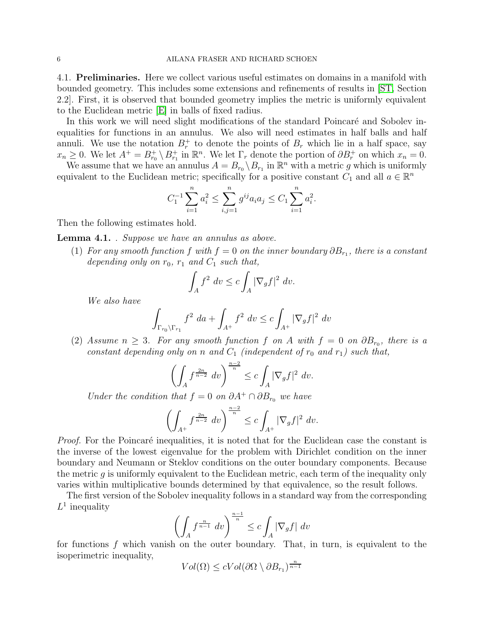<span id="page-5-2"></span>4.1. Preliminaries. Here we collect various useful estimates on domains in a manifold with bounded geometry. This includes some extensions and refinements of results in [\[ST,](#page-24-7) Section 2.2]. First, it is observed that bounded geometry implies the metric is uniformly equivalent to the Euclidean metric [\[E\]](#page-23-8) in balls of fixed radius.

In this work we will need slight modifications of the standard Poincaré and Sobolev inequalities for functions in an annulus. We also will need estimates in half balls and half annuli. We use the notation  $B_r^+$  to denote the points of  $B_r$  which lie in a half space, say  $x_n \geq 0$ . We let  $A^+ = B_{r_0}^+ \setminus B_{r_1}^+$  in  $\mathbb{R}^n$ . We let  $\Gamma_r$  denote the portion of  $\partial B_r^+$  on which  $x_n = 0$ .

We assume that we have an annulus  $A = B_{r_0} \setminus B_{r_1}$  in  $\mathbb{R}^n$  with a metric g which is uniformly equivalent to the Euclidean metric; specifically for a positive constant  $C_1$  and all  $a \in \mathbb{R}^n$ 

$$
C_1^{-1} \sum_{i=1}^n a_i^2 \le \sum_{i,j=1}^n g^{ij} a_i a_j \le C_1 \sum_{i=1}^n a_i^2.
$$

Then the following estimates hold.

<span id="page-5-1"></span>Lemma 4.1. . Suppose we have an annulus as above.

(1) For any smooth function f with  $f = 0$  on the inner boundary  $\partial B_{r_1}$ , there is a constant depending only on  $r_0$ ,  $r_1$  and  $C_1$  such that,

$$
\int_A f^2 \, dv \le c \int_A |\nabla_g f|^2 \, dv.
$$

We also have

$$
\int_{\Gamma_{r_0}\backslash\Gamma_{r_1}} f^2\ da + \int_{A^+} f^2\ dv \le c \int_{A^+} |\nabla_g f|^2\ dv
$$

<span id="page-5-0"></span>(2) Assume  $n \geq 3$ . For any smooth function f on A with  $f = 0$  on  $\partial B_{r_0}$ , there is a constant depending only on n and  $C_1$  (independent of  $r_0$  and  $r_1$ ) such that,

$$
\left(\int_A f^{\frac{2n}{n-2}} dv\right)^{\frac{n-2}{n}} \le c \int_A |\nabla_g f|^2 dv.
$$

Under the condition that  $f = 0$  on  $\partial A^+ \cap \partial B_{r_0}$  we have

$$
\left(\int_{A^+} f^{\frac{2n}{n-2}} dv\right)^{\frac{n-2}{n}} \le c \int_{A^+} |\nabla_g f|^2 dv.
$$

*Proof.* For the Poincaré inequalities, it is noted that for the Euclidean case the constant is the inverse of the lowest eigenvalue for the problem with Dirichlet condition on the inner boundary and Neumann or Steklov conditions on the outer boundary components. Because the metric  $q$  is uniformly equivalent to the Euclidean metric, each term of the inequality only varies within multiplicative bounds determined by that equivalence, so the result follows.

The first version of the Sobolev inequality follows in a standard way from the corresponding  $L^1$  inequality

$$
\left(\int_A f^{\frac{n}{n-1}} \, dv\right)^{\frac{n-1}{n}} \le c \int_A |\nabla_g f| \, dv
$$

for functions  $f$  which vanish on the outer boundary. That, in turn, is equivalent to the isoperimetric inequality,

$$
Vol(\Omega) \le c Vol(\partial \Omega \setminus \partial B_{r_1})^{\frac{n}{n-1}}
$$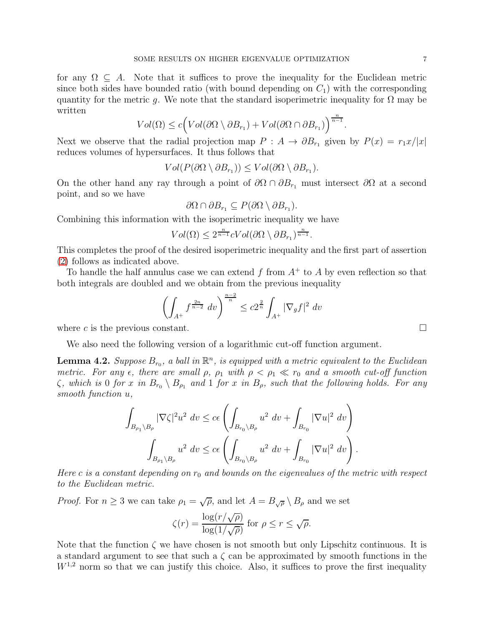for any  $\Omega \subseteq A$ . Note that it suffices to prove the inequality for the Euclidean metric since both sides have bounded ratio (with bound depending on  $C_1$ ) with the corresponding quantity for the metric g. We note that the standard isoperimetric inequality for  $\Omega$  may be written

$$
Vol(\Omega) \le c \Big( Vol(\partial \Omega \setminus \partial B_{r_1}) + Vol(\partial \Omega \cap \partial B_{r_1}) \Big)^{\frac{n}{n-1}}.
$$

Next we observe that the radial projection map  $P : A \to \partial B_{r_1}$  given by  $P(x) = r_1x/|x|$ reduces volumes of hypersurfaces. It thus follows that

$$
Vol(P(\partial\Omega\setminus\partial B_{r_1}))\leq Vol(\partial\Omega\setminus\partial B_{r_1}).
$$

On the other hand any ray through a point of  $\partial\Omega \cap \partial B_{r_1}$  must intersect  $\partial\Omega$  at a second point, and so we have

$$
\partial\Omega \cap \partial B_{r_1} \subseteq P(\partial\Omega \setminus \partial B_{r_1}).
$$

Combining this information with the isoperimetric inequality we have

$$
Vol(\Omega) \leq 2^{\frac{n}{n-1}} c Vol(\partial \Omega \setminus \partial B_{r_1})^{\frac{n}{n-1}}.
$$

This completes the proof of the desired isoperimetric inequality and the first part of assertion [\(2\)](#page-5-0) follows as indicated above.

To handle the half annulus case we can extend  $f$  from  $A^{+}$  to  $A$  by even reflection so that both integrals are doubled and we obtain from the previous inequality

$$
\left(\int_{A^+} f^{\frac{2n}{n-2}} dv\right)^{\frac{n-2}{n}} \le c2^{\frac{2}{n}} \int_{A^+} |\nabla_g f|^2 dv
$$

where c is the previous constant.  $\square$ 

We also need the following version of a logarithmic cut-off function argument.

<span id="page-6-0"></span>**Lemma 4.2.** Suppose  $B_{r_0}$ , a ball in  $\mathbb{R}^n$ , is equipped with a metric equivalent to the Euclidean metric. For any  $\epsilon$ , there are small  $\rho$ ,  $\rho_1$  with  $\rho < \rho_1 \ll r_0$  and a smooth cut-off function  $\zeta$ , which is 0 for x in  $B_{r_0} \setminus B_{\rho_1}$  and 1 for x in  $B_{\rho_1}$  such that the following holds. For any smooth function u,

$$
\int_{B_{\rho_1}\setminus B_{\rho}} |\nabla \zeta|^{2} u^{2} dv \le c\epsilon \left( \int_{B_{r_0}\setminus B_{\rho}} u^{2} dv + \int_{B_{r_0}} |\nabla u|^{2} dv \right)
$$

$$
\int_{B_{\rho_1}\setminus B_{\rho}} u^{2} dv \le c\epsilon \left( \int_{B_{r_0}\setminus B_{\rho}} u^{2} dv + \int_{B_{r_0}} |\nabla u|^{2} dv \right).
$$

Here c is a constant depending on  $r_0$  and bounds on the eigenvalues of the metric with respect to the Euclidean metric.

*Proof.* For  $n \geq 3$  we can take  $\rho_1 = \sqrt{\rho}$ , and let  $A = B_{\sqrt{\rho}} \setminus B_{\rho}$  and we set

$$
\zeta(r) = \frac{\log(r/\sqrt{\rho})}{\log(1/\sqrt{\rho})} \text{ for } \rho \le r \le \sqrt{\rho}.
$$

Note that the function  $\zeta$  we have chosen is not smooth but only Lipschitz continuous. It is a standard argument to see that such a  $\zeta$  can be approximated by smooth functions in the  $W^{1,2}$  norm so that we can justify this choice. Also, it suffices to prove the first inequality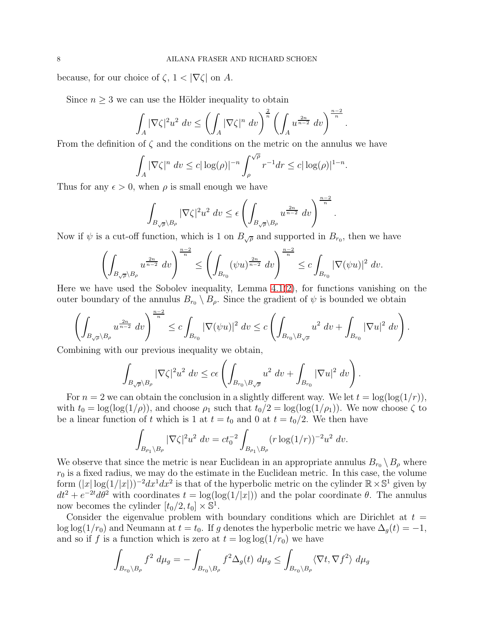because, for our choice of  $\zeta$ ,  $1 < |\nabla \zeta|$  on A.

Since  $n \geq 3$  we can use the Hölder inequality to obtain

$$
\int_A |\nabla \zeta|^2 u^2 dv \le \left(\int_A |\nabla \zeta|^n dv\right)^{\frac{2}{n}} \left(\int_A u^{\frac{2n}{n-2}} dv\right)^{\frac{n-2}{n}}.
$$

From the definition of  $\zeta$  and the conditions on the metric on the annulus we have

$$
\int_A |\nabla \zeta|^n \, dv \le c |\log(\rho)|^{-n} \int_{\rho}^{\sqrt{\rho}} r^{-1} dr \le c |\log(\rho)|^{1-n}.
$$

Thus for any  $\epsilon > 0$ , when  $\rho$  is small enough we have

$$
\int_{B_{\sqrt{\rho}}\backslash B_{\rho}} |\nabla \zeta|^2 u^2 dv \leq \epsilon \left( \int_{B_{\sqrt{\rho}}\backslash B_{\rho}} u^{\frac{2n}{n-2}} dv \right)^{\frac{n-2}{n}}
$$

.

Now if  $\psi$  is a cut-off function, which is 1 on  $B_{\sqrt{\rho}}$  and supported in  $B_{r_0}$ , then we have

$$
\left(\int_{B_{\sqrt{\rho}}\setminus B_{\rho}} u^{\frac{2n}{n-2}} dv\right)^{\frac{n-2}{n}} \le \left(\int_{B_{r_0}} (\psi u)^{\frac{2n}{n-2}} dv\right)^{\frac{n-2}{n}} \le c \int_{B_{r_0}} |\nabla(\psi u)|^2 dv.
$$

Here we have used the Sobolev inequality, Lemma  $4.1(2)$  $4.1(2)$ , for functions vanishing on the outer boundary of the annulus  $B_{r_0} \setminus B_{\rho}$ . Since the gradient of  $\psi$  is bounded we obtain

$$
\left(\int_{B_{\sqrt{\rho}}\setminus B_{\rho}} u^{\frac{2n}{n-2}} dv\right)^{\frac{n-2}{n}} \leq c \int_{B_{r_0}} |\nabla(\psi u)|^2 dv \leq c \left(\int_{B_{r_0}\setminus B_{\sqrt{\rho}}} u^2 dv + \int_{B_{r_0}} |\nabla u|^2 dv\right).
$$

Combining with our previous inequality we obtain,

$$
\int_{B_{\sqrt{\rho}}\setminus B_{\rho}} |\nabla \zeta|^{2} u^{2} dv \leq c \epsilon \left( \int_{B_{r_{0}}\setminus B_{\sqrt{\rho}}} u^{2} dv + \int_{B_{r_{0}}} |\nabla u|^{2} dv \right).
$$

For  $n = 2$  we can obtain the conclusion in a slightly different way. We let  $t = \log(\log(1/r))$ , with  $t_0 = \log(\log(1/\rho))$ , and choose  $\rho_1$  such that  $t_0/2 = \log(\log(1/\rho_1))$ . We now choose  $\zeta$  to be a linear function of t which is 1 at  $t = t_0$  and 0 at  $t = t_0/2$ . We then have

$$
\int_{B_{\rho_1}\setminus B_{\rho}} |\nabla \zeta|^2 u^2 dv = ct_0^{-2} \int_{B_{\rho_1}\setminus B_{\rho}} (r \log(1/r))^{-2} u^2 dv.
$$

We observe that since the metric is near Euclidean in an appropriate annulus  $B_{r_0} \setminus B_\rho$  where  $r_0$  is a fixed radius, we may do the estimate in the Euclidean metric. In this case, the volume form  $(|x| \log(1/|x|))^{-2} dx^1 dx^2$  is that of the hyperbolic metric on the cylinder  $\mathbb{R} \times \mathbb{S}^1$  given by  $dt^2 + e^{-2t}d\theta^2$  with coordinates  $t = \log(\log(1/|x|))$  and the polar coordinate  $\theta$ . The annulus now becomes the cylinder  $[t_0/2, t_0] \times \mathbb{S}^1$ .

Consider the eigenvalue problem with boundary conditions which are Dirichlet at  $t =$ log log(1/r<sub>0</sub>) and Neumann at  $t = t_0$ . If g denotes the hyperbolic metric we have  $\Delta_g(t) = -1$ , and so if f is a function which is zero at  $t = \log \log(1/r_0)$  we have

$$
\int_{B_{r_0}\setminus B_\rho} f^2 \, d\mu_g = -\int_{B_{r_0}\setminus B_\rho} f^2 \Delta_g(t) \, d\mu_g \le \int_{B_{r_0}\setminus B_\rho} \langle \nabla t, \nabla f^2 \rangle \, d\mu_g
$$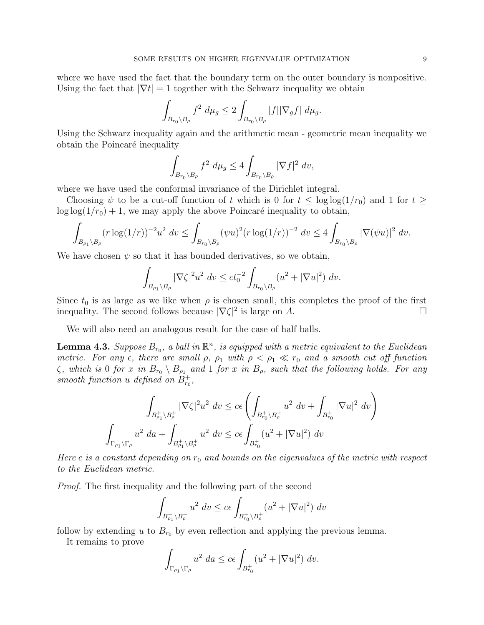where we have used the fact that the boundary term on the outer boundary is nonpositive. Using the fact that  $|\nabla t| = 1$  together with the Schwarz inequality we obtain

$$
\int_{B_{r_0}\setminus B_{\rho}} f^2 \ d\mu_g \le 2 \int_{B_{r_0}\setminus B_{\rho}} |f| |\nabla_g f| \ d\mu_g.
$$

Using the Schwarz inequality again and the arithmetic mean - geometric mean inequality we obtain the Poincaré inequality

$$
\int_{B_{r_0}\setminus B_{\rho}} f^2 \ d\mu_g \le 4 \int_{B_{r_0}\setminus B_{\rho}} |\nabla f|^2 \ dv,
$$

where we have used the conformal invariance of the Dirichlet integral.

Choosing  $\psi$  to be a cut-off function of t which is 0 for  $t \leq \log \log(1/r_0)$  and 1 for  $t \geq$  $\log \log(1/r_0) + 1$ , we may apply the above Poincaré inequality to obtain,

$$
\int_{B_{\rho_1}\setminus B_{\rho}} (r \log(1/r))^{-2} u^2 \ dv \le \int_{B_{r_0}\setminus B_{\rho}} (\psi u)^2 (r \log(1/r))^{-2} \ dv \le 4 \int_{B_{r_0}\setminus B_{\rho}} |\nabla(\psi u)|^2 \ dv.
$$

We have chosen  $\psi$  so that it has bounded derivatives, so we obtain,

$$
\int_{B_{\rho_1}\setminus B_{\rho}} |\nabla \zeta|^2 u^2 dv \le ct_0^{-2} \int_{B_{r_0}\setminus B_{\rho}} (u^2 + |\nabla u|^2) dv.
$$

Since  $t_0$  is as large as we like when  $\rho$  is chosen small, this completes the proof of the first inequality. The second follows because  $|\nabla \zeta|^2$  is large on A.

We will also need an analogous result for the case of half balls.

<span id="page-8-0"></span>**Lemma 4.3.** Suppose  $B_{r_0}$ , a ball in  $\mathbb{R}^n$ , is equipped with a metric equivalent to the Euclidean metric. For any  $\epsilon$ , there are small  $\rho$ ,  $\rho_1$  with  $\rho < \rho_1 \ll r_0$  and a smooth cut off function  $\zeta$ , which is 0 for x in  $B_{r_0} \setminus B_{\rho_1}$  and 1 for x in  $B_{\rho}$ , such that the following holds. For any smooth function u defined on  $B_{r_0}^+$ ,

$$
\int_{B_{\rho_1}^+\backslash B_{\rho}^+} |\nabla \zeta|^2 u^2 \ dv \le c\epsilon \left( \int_{B_{r_0}^+\backslash B_{\rho}^+} u^2 \ dv + \int_{B_{r_0}^+} |\nabla u|^2 \ dv \right)
$$
  

$$
\int_{\Gamma_{\rho_1}\backslash \Gamma_{\rho}} u^2 \ da + \int_{B_{\rho_1}^+\backslash B_{\rho}^+} u^2 \ dv \le c\epsilon \int_{B_{r_0}^+} (u^2 + |\nabla u|^2) \ dv
$$

Here c is a constant depending on  $r_0$  and bounds on the eigenvalues of the metric with respect to the Euclidean metric.

Proof. The first inequality and the following part of the second

$$
\int_{B_{\rho_1}^+\backslash B_{\rho}^+} u^2 dv \le c\epsilon \int_{B_{r_0}^+\backslash B_{\rho}^+} (u^2 + |\nabla u|^2) dv
$$

follow by extending u to  $B_{r_0}$  by even reflection and applying the previous lemma.

It remains to prove

$$
\int_{\Gamma_{\rho_1}\backslash\Gamma_{\rho}} u^2 \, da \le c\epsilon \int_{B_{r_0}^+} (u^2 + |\nabla u|^2) \, dv.
$$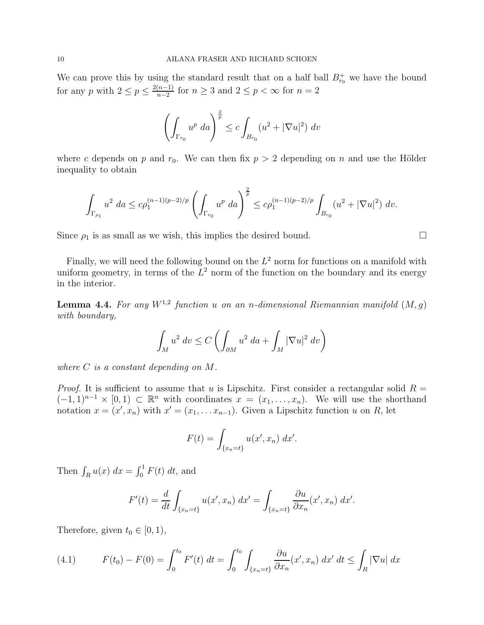We can prove this by using the standard result that on a half ball  $B_{r_0}^+$  we have the bound for any p with  $2 \le p \le \frac{2(n-1)}{n-2}$  $\frac{(n-1)}{n-2}$  for  $n \geq 3$  and  $2 \leq p < \infty$  for  $n = 2$ 

$$
\left(\int_{\Gamma_{r_0}} u^p \, da\right)^{\frac{2}{p}} \le c \int_{B_{r_0}} (u^2 + |\nabla u|^2) \, dv
$$

where c depends on p and  $r_0$ . We can then fix  $p > 2$  depending on n and use the Hölder inequality to obtain

$$
\int_{\Gamma_{\rho_1}} u^2 \, da \leq c \rho_1^{(n-1)(p-2)/p} \left( \int_{\Gamma_{r_0}} u^p \, da \right)^{\frac{2}{p}} \leq c \rho_1^{(n-1)(p-2)/p} \int_{B_{r_0}} (u^2 + |\nabla u|^2) \, dv.
$$

Since  $\rho_1$  is as small as we wish, this implies the desired bound.  $\square$ 

Finally, we will need the following bound on the  $L^2$  norm for functions on a manifold with uniform geometry, in terms of the  $L^2$  norm of the function on the boundary and its energy in the interior.

<span id="page-9-1"></span>**Lemma 4.4.** For any  $W^{1,2}$  function u on an n-dimensional Riemannian manifold  $(M, g)$ with boundary,

$$
\int_M u^2 \, dv \le C \left( \int_{\partial M} u^2 \, da + \int_M |\nabla u|^2 \, dv \right)
$$

where  $C$  is a constant depending on  $M$ .

*Proof.* It is sufficient to assume that u is Lipschitz. First consider a rectangular solid  $R =$  $(-1,1)^{n-1} \times [0,1) \subset \mathbb{R}^n$  with coordinates  $x = (x_1,\ldots,x_n)$ . We will use the shorthand notation  $x = (x', x_n)$  with  $x' = (x_1, \ldots x_{n-1})$ . Given a Lipschitz function u on R, let

$$
F(t) = \int_{\{x_n=t\}} u(x', x_n) dx'.
$$

Then  $\int_R u(x) dx = \int_0^1 F(t) dt$ , and

$$
F'(t) = \frac{d}{dt} \int_{\{x_n = t\}} u(x', x_n) dx' = \int_{\{x_n = t\}} \frac{\partial u}{\partial x_n}(x', x_n) dx'.
$$

Therefore, given  $t_0 \in [0, 1)$ ,

<span id="page-9-0"></span>(4.1) 
$$
F(t_0) - F(0) = \int_0^{t_0} F'(t) dt = \int_0^{t_0} \int_{\{x_n = t\}} \frac{\partial u}{\partial x_n}(x', x_n) dx' dt \le \int_R |\nabla u| dx
$$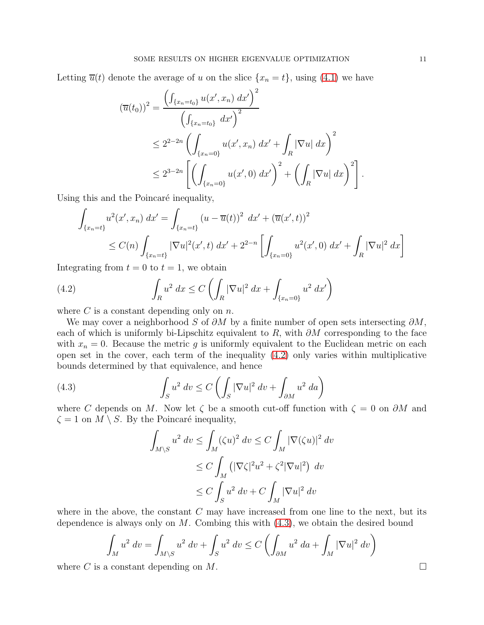Letting  $\overline{u}(t)$  denote the average of u on the slice  $\{x_n = t\}$ , using [\(4.1\)](#page-9-0) we have

$$
(\overline{u}(t_0))^2 = \frac{\left(\int_{\{x_n = t_0\}} u(x', x_n) dx'\right)^2}{\left(\int_{\{x_n = t_0\}} dx'\right)^2}
$$
  
\$\leq 2^{2-2n} \left(\int\_{\{x\_n = 0\}} u(x', x\_n) dx' + \int\_R |\nabla u| dx\right)^2\$  
\$\leq 2^{3-2n} \left[\left(\int\_{\{x\_n = 0\}} u(x', 0) dx'\right)^2 + \left(\int\_R |\nabla u| dx\right)^2\right].

Using this and the Poincaré inequality,

$$
\int_{\{x_n=t\}} u^2(x',x_n) dx' = \int_{\{x_n=t\}} (u - \overline{u}(t))^2 dx' + (\overline{u}(x',t))^2
$$
\n
$$
\leq C(n) \int_{\{x_n=t\}} |\nabla u|^2(x',t) dx' + 2^{2-n} \left[ \int_{\{x_n=0\}} u^2(x',0) dx' + \int_R |\nabla u|^2 dx \right]
$$

Integrating from  $t = 0$  to  $t = 1$ , we obtain

<span id="page-10-0"></span>(4.2) 
$$
\int_{R} u^{2} dx \leq C \left( \int_{R} |\nabla u|^{2} dx + \int_{\{x_{n}=0\}} u^{2} dx' \right)
$$

where  $C$  is a constant depending only on  $n$ .

We may cover a neighborhood S of  $\partial M$  by a finite number of open sets intersecting  $\partial M$ , each of which is uniformly bi-Lipschitz equivalent to R, with  $\partial M$  corresponding to the face with  $x_n = 0$ . Because the metric g is uniformly equivalent to the Euclidean metric on each open set in the cover, each term of the inequality [\(4.2\)](#page-10-0) only varies within multiplicative bounds determined by that equivalence, and hence

(4.3) 
$$
\int_{S} u^2 dv \leq C \left( \int_{S} |\nabla u|^2 dv + \int_{\partial M} u^2 da \right)
$$

where C depends on M. Now let  $\zeta$  be a smooth cut-off function with  $\zeta = 0$  on  $\partial M$  and  $\zeta = 1$  on  $M \setminus S$ . By the Poincaré inequality,

<span id="page-10-1"></span>
$$
\int_{M\setminus S} u^2 dv \le \int_M (\zeta u)^2 dv \le C \int_M |\nabla(\zeta u)|^2 dv
$$
  
\n
$$
\le C \int_M (|\nabla \zeta|^2 u^2 + \zeta^2 |\nabla u|^2) dv
$$
  
\n
$$
\le C \int_S u^2 dv + C \int_M |\nabla u|^2 dv
$$

where in the above, the constant  $C$  may have increased from one line to the next, but its dependence is always only on  $M$ . Combing this with  $(4.3)$ , we obtain the desired bound

$$
\int_M u^2 dv = \int_{M \setminus S} u^2 dv + \int_S u^2 dv \le C \left( \int_{\partial M} u^2 da + \int_M |\nabla u|^2 dv \right)
$$

where C is a constant depending on M.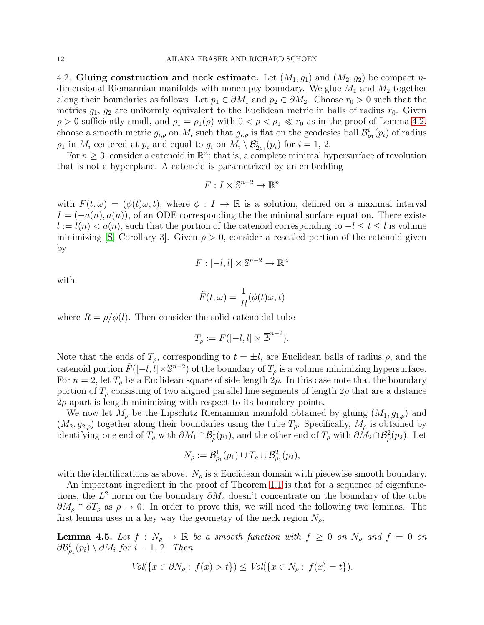<span id="page-11-1"></span>4.2. Gluing construction and neck estimate. Let  $(M_1, g_1)$  and  $(M_2, g_2)$  be compact ndimensional Riemannian manifolds with nonempty boundary. We glue  $M_1$  and  $M_2$  together along their boundaries as follows. Let  $p_1 \in \partial M_1$  and  $p_2 \in \partial M_2$ . Choose  $r_0 > 0$  such that the metrics  $g_1, g_2$  are uniformly equivalent to the Euclidean metric in balls of radius  $r_0$ . Given  $\rho > 0$  sufficiently small, and  $\rho_1 = \rho_1(\rho)$  with  $0 < \rho < \rho_1 \ll r_0$  as in the proof of Lemma [4.2,](#page-6-0) choose a smooth metric  $g_{i,\rho}$  on  $M_i$  such that  $g_{i,\rho}$  is flat on the geodesics ball  $\mathcal{B}_{\rho_1}^i(p_i)$  of radius  $\rho_1$  in  $M_i$  centered at  $p_i$  and equal to  $g_i$  on  $M_i \setminus \mathcal{B}^i_{2\rho_1}(p_i)$  for  $i = 1, 2$ .

For  $n \geq 3$ , consider a catenoid in  $\mathbb{R}^n$ ; that is, a complete minimal hypersurface of revolution that is not a hyperplane. A catenoid is parametrized by an embedding

$$
F: I \times \mathbb{S}^{n-2} \to \mathbb{R}^n
$$

with  $F(t,\omega) = (\phi(t)\omega, t)$ , where  $\phi: I \to \mathbb{R}$  is a solution, defined on a maximal interval  $I = (-a(n), a(n))$ , of an ODE corresponding the the minimal surface equation. There exists  $l := l(n) < a(n)$ , such that the portion of the catenoid corresponding to  $-l \le t \le l$  is volume minimizing [\[S,](#page-24-8) Corollary 3]. Given  $\rho > 0$ , consider a rescaled portion of the catenoid given by

$$
\tilde{F} : [-l, l] \times \mathbb{S}^{n-2} \to \mathbb{R}^n
$$

with

$$
\tilde{F}(t,\omega) = \frac{1}{R}(\phi(t)\omega, t)
$$

where  $R = \rho/\phi(l)$ . Then consider the solid catenoidal tube

$$
T_{\rho} := \tilde{F}([-l, l] \times \overline{\mathbb{B}}^{n-2}).
$$

Note that the ends of  $T_{\rho}$ , corresponding to  $t = \pm l$ , are Euclidean balls of radius  $\rho$ , and the catenoid portion  $\tilde{F}([-l, l] \times \mathbb{S}^{n-2})$  of the boundary of  $T_{\rho}$  is a volume minimizing hypersurface. For  $n = 2$ , let  $T_{\rho}$  be a Euclidean square of side length  $2\rho$ . In this case note that the boundary portion of  $T_\rho$  consisting of two aligned parallel line segments of length  $2\rho$  that are a distance  $2\rho$  apart is length minimizing with respect to its boundary points.

We now let  $M_{\rho}$  be the Lipschitz Riemannian manifold obtained by gluing  $(M_1, g_{1,\rho})$  and  $(M_2, g_{2,\rho})$  together along their boundaries using the tube  $T_\rho$ . Specifically,  $M_\rho$  is obtained by identifying one end of  $T_\rho$  with  $\partial M_1 \cap \mathcal{B}^1_\rho(p_1)$ , and the other end of  $T_\rho$  with  $\partial M_2 \cap \mathcal{B}^2_\rho(p_2)$ . Let

$$
N_{\rho} := \mathcal{B}_{\rho_1}^1(p_1) \cup T_{\rho} \cup \mathcal{B}_{\rho_1}^2(p_2),
$$

with the identifications as above.  $N_\rho$  is a Euclidean domain with piecewise smooth boundary.

An important ingredient in the proof of Theorem [1.1](#page-1-0) is that for a sequence of eigenfunctions, the  $L^2$  norm on the boundary  $\partial M_\rho$  doesn't concentrate on the boundary of the tube  $\partial M_\rho \cap \partial T_\rho$  as  $\rho \to 0$ . In order to prove this, we will need the following two lemmas. The first lemma uses in a key way the geometry of the neck region  $N_{\rho}$ .

<span id="page-11-0"></span>**Lemma 4.5.** Let  $f : N_\rho \to \mathbb{R}$  be a smooth function with  $f \geq 0$  on  $N_\rho$  and  $f = 0$  on  $\partial \mathcal{B}_{\rho_1}^i(p_i) \setminus \partial M_i$  for  $i = 1, 2$ . Then

$$
Vol({x \in \partial N_\rho : f(x) > t}) \le Vol({x \in N_\rho : f(x) = t}).
$$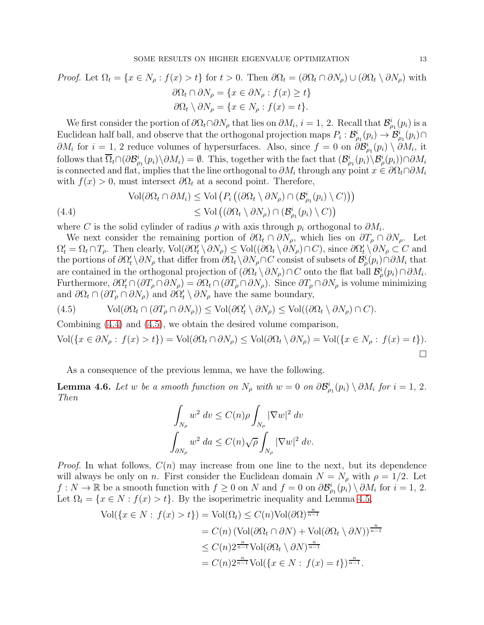*Proof.* Let 
$$
\Omega_t = \{x \in N_\rho : f(x) > t\}
$$
 for  $t > 0$ . Then  $\partial \Omega_t = (\partial \Omega_t \cap \partial N_\rho) \cup (\partial \Omega_t \setminus \partial N_\rho)$  with  
\n
$$
\partial \Omega_t \cap \partial N_\rho = \{x \in \partial N_\rho : f(x) \ge t\}
$$
\n
$$
\partial \Omega_t \setminus \partial N_\rho = \{x \in N_\rho : f(x) = t\}.
$$

We first consider the portion of  $\partial\Omega_t \cap \partial N_\rho$  that lies on  $\partial M_i$ ,  $i = 1, 2$ . Recall that  $\mathcal{B}^i_{\rho_1}(p_i)$  is a Euclidean half ball, and observe that the orthogonal projection maps  $P_i: \mathcal{B}^i_{\rho_1}(p_i) \to \mathcal{B}^i_{\rho_1}(p_i) \cap$  $\partial M_i$  for  $i = 1, 2$  reduce volumes of hypersurfaces. Also, since  $f = 0$  on  $\partial \mathcal{B}_{\rho_1}^i(p_i) \setminus \partial M_i$ , it follows that  $\overline{\Omega}_t \cap (\partial \mathcal{B}_{\rho_1}^i(p_i) \setminus \partial M_i) = \emptyset$ . This, together with the fact that  $(\mathcal{B}_{\rho_1}^i(p_i) \setminus \mathcal{B}_{\rho}^i(p_i)) \cap \partial M_i$ is connected and flat, implies that the line orthogonal to  $\partial M_i$  through any point  $x \in \partial \Omega_i \cap \partial M_i$ with  $f(x) > 0$ , must intersect  $\partial \Omega_t$  at a second point. Therefore,

<span id="page-12-0"></span>(4.4)  
\n
$$
\text{Vol}(\partial\Omega_t \cap \partial M_i) \leq \text{Vol}\left(P_i\left((\partial\Omega_t \setminus \partial N_\rho) \cap (\mathcal{B}^i_{\rho_1}(p_i) \setminus C)\right)\right)
$$
\n
$$
\leq \text{Vol}\left((\partial\Omega_t \setminus \partial N_\rho) \cap (\mathcal{B}^i_{\rho_1}(p_i) \setminus C)\right)
$$

where C is the solid cylinder of radius  $\rho$  with axis through  $p_i$  orthogonal to  $\partial M_i$ .

We next consider the remaining portion of  $\partial\Omega_t \cap \partial N_\rho$ , which lies on  $\partial T_\rho \cap \partial N_\rho$ . Let  $\Omega'_t = \Omega_t \cap T_\rho$ . Then clearly,  $\text{Vol}(\partial \Omega'_t \setminus \partial N_\rho) \leq \text{Vol}((\partial \Omega_t \setminus \partial N_\rho) \cap C)$ , since  $\partial \Omega'_t \setminus \partial N_\rho \subset C$  and the portions of  $\partial\Omega'_t\setminus\partial N_\rho$  that differ from  $\partial\Omega_t\setminus\partial N_\rho\cap C$  consist of subsets of  $\mathcal{B}^i_\rho(p_i)\cap\partial M_i$  that are contained in the orthogonal projection of  $(\partial \Omega_t \setminus \partial N_\rho) \cap C$  onto the flat ball  $\mathcal{B}^i_\rho(p_i) \cap \partial M_i$ . Furthermore,  $\partial \Omega'_t \cap (\partial T_\rho \cap \partial N_\rho) = \partial \Omega_t \cap (\partial T_\rho \cap \partial N_\rho)$ . Since  $\partial T_\rho \cap \partial N_\rho$  is volume minimizing and  $\partial \Omega_t \cap (\partial T_\rho \cap \partial N_\rho)$  and  $\partial \Omega'_t \setminus \partial N_\rho$  have the same boundary,

<span id="page-12-1"></span>(4.5) 
$$
\text{Vol}(\partial\Omega_t \cap (\partial T_\rho \cap \partial N_\rho)) \leq \text{Vol}(\partial\Omega'_t \setminus \partial N_\rho) \leq \text{Vol}((\partial \Omega_t \setminus \partial N_\rho) \cap C).
$$

Combining [\(4.4\)](#page-12-0) and [\(4.5\)](#page-12-1), we obtain the desired volume comparison,

$$
\text{Vol}(\{x \in \partial N_{\rho} : f(x) > t\}) = \text{Vol}(\partial \Omega_t \cap \partial N_{\rho}) \le \text{Vol}(\partial \Omega_t \setminus \partial N_{\rho}) = \text{Vol}(\{x \in N_{\rho} : f(x) = t\}).
$$

As a consequence of the previous lemma, we have the following.

<span id="page-12-2"></span>**Lemma 4.6.** Let w be a smooth function on  $N_\rho$  with  $w = 0$  on  $\partial \mathcal{B}^i_{\rho_1}(p_i) \setminus \partial M_i$  for  $i = 1, 2$ . Then

$$
\int_{N_{\rho}} w^2 dv \le C(n)\rho \int_{N_{\rho}} |\nabla w|^2 dv
$$
  

$$
\int_{\partial N_{\rho}} w^2 da \le C(n)\sqrt{\rho} \int_{N_{\rho}} |\nabla w|^2 dv.
$$

*Proof.* In what follows,  $C(n)$  may increase from one line to the next, but its dependence will always be only on *n*. First consider the Euclidean domain  $N = N_\rho$  with  $\rho = 1/2$ . Let  $f: N \to \mathbb{R}$  be a smooth function with  $f \geq 0$  on N and  $f = 0$  on  $\partial \mathcal{B}_{\rho_1}^i(p_i) \setminus \partial M_i$  for  $i = 1, 2$ . Let  $\Omega_t = \{x \in N : f(x) > t\}$ . By the isoperimetric inequality and Lemma [4.5,](#page-11-0)

$$
\text{Vol}(\{x \in N : f(x) > t\}) = \text{Vol}(\Omega_t) \le C(n)\text{Vol}(\partial\Omega)^{\frac{n}{n-1}}
$$
  
\n
$$
= C(n) \left(\text{Vol}(\partial\Omega_t \cap \partial N) + \text{Vol}(\partial\Omega_t \setminus \partial N)\right)^{\frac{n}{n-1}}
$$
  
\n
$$
\le C(n)2^{\frac{n}{n-1}}\text{Vol}(\partial\Omega_t \setminus \partial N)^{\frac{n}{n-1}}
$$
  
\n
$$
= C(n)2^{\frac{n}{n-1}}\text{Vol}(\{x \in N : f(x) = t\})^{\frac{n}{n-1}}.
$$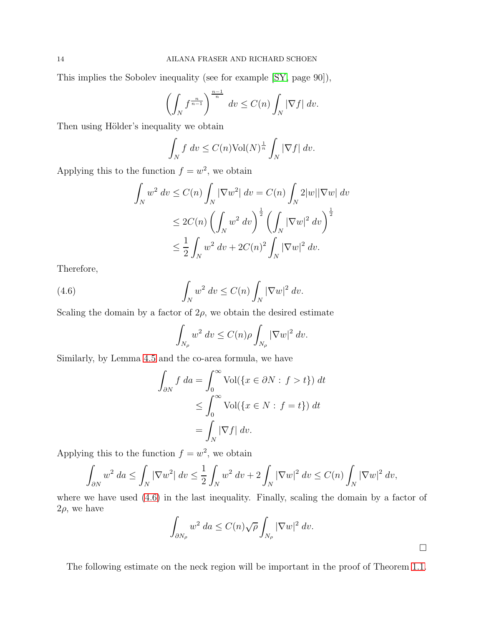This implies the Sobolev inequality (see for example [\[SY,](#page-24-9) page 90]),

$$
\left(\int_N f^{\frac{n}{n-1}}\right)^{\frac{n-1}{n}} dv \le C(n) \int_N |\nabla f| dv.
$$

Then using Hölder's inequality we obtain

$$
\int_N f \, dv \le C(n) \text{Vol}(N)^{\frac{1}{n}} \int_N |\nabla f| \, dv.
$$

Applying this to the function  $f = w^2$ , we obtain

$$
\int_{N} w^{2} dv \leq C(n) \int_{N} |\nabla w^{2}| dv = C(n) \int_{N} 2|w||\nabla w| dv
$$
  
\n
$$
\leq 2C(n) \left( \int_{N} w^{2} dv \right)^{\frac{1}{2}} \left( \int_{N} |\nabla w|^{2} dv \right)^{\frac{1}{2}}
$$
  
\n
$$
\leq \frac{1}{2} \int_{N} w^{2} dv + 2C(n)^{2} \int_{N} |\nabla w|^{2} dv.
$$

Therefore,

(4.6) 
$$
\int_{N} w^2 dv \leq C(n) \int_{N} |\nabla w|^2 dv.
$$

Scaling the domain by a factor of  $2\rho$ , we obtain the desired estimate

<span id="page-13-0"></span>
$$
\int_{N_{\rho}} w^2 \, dv \le C(n)\rho \int_{N_{\rho}} |\nabla w|^2 \, dv.
$$

Similarly, by Lemma [4.5](#page-11-0) and the co-area formula, we have

$$
\int_{\partial N} f \, da = \int_0^\infty \text{Vol}(\{x \in \partial N : f > t\}) \, dt
$$
  
\n
$$
\leq \int_0^\infty \text{Vol}(\{x \in N : f = t\}) \, dt
$$
  
\n
$$
= \int_N |\nabla f| \, dv.
$$

Applying this to the function  $f = w^2$ , we obtain

$$
\int_{\partial N} w^2 \, da \le \int_N |\nabla w^2| \, dv \le \frac{1}{2} \int_N w^2 \, dv + 2 \int_N |\nabla w|^2 \, dv \le C(n) \int_N |\nabla w|^2 \, dv,
$$

where we have used [\(4.6\)](#page-13-0) in the last inequality. Finally, scaling the domain by a factor of  $2\rho$ , we have

$$
\int_{\partial N_{\rho}} w^2 \, da \le C(n) \sqrt{\rho} \int_{N_{\rho}} |\nabla w|^2 \, dv.
$$

The following estimate on the neck region will be important in the proof of Theorem [1.1.](#page-1-0)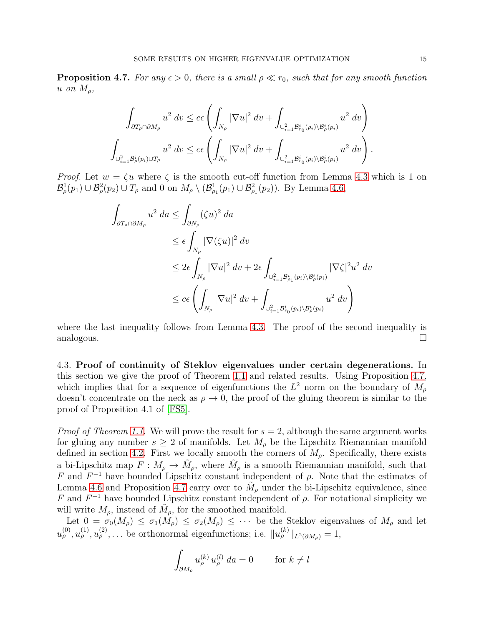<span id="page-14-0"></span>**Proposition 4.7.** For any  $\epsilon > 0$ , there is a small  $\rho \ll r_0$ , such that for any smooth function u on  $M_{\rho}$ ,

$$
\int_{\partial T_{\rho}\cap \partial M_{\rho}} u^2 dv \leq c\epsilon \left( \int_{N_{\rho}} |\nabla u|^2 dv + \int_{\cup_{i=1}^2 \mathcal{B}_{r_0}^i(p_i)\setminus \mathcal{B}_{\rho}^i(p_i)} u^2 dv \right)
$$
  

$$
\int_{\cup_{i=1}^2 \mathcal{B}_{\rho}^i(p_i)\cup T_{\rho}} u^2 dv \leq c\epsilon \left( \int_{N_{\rho}} |\nabla u|^2 dv + \int_{\cup_{i=1}^2 \mathcal{B}_{r_0}^i(p_i)\setminus \mathcal{B}_{\rho}^i(p_i)} u^2 dv \right).
$$

*Proof.* Let  $w = \zeta u$  where  $\zeta$  is the smooth cut-off function from Lemma [4.3](#page-8-0) which is 1 on  $\mathcal{B}^1_\rho(p_1) \cup \mathcal{B}^2_\rho(p_2) \cup T_\rho$  and 0 on  $M_\rho \setminus (\mathcal{B}^1_{\rho_1}(p_1) \cup \mathcal{B}^2_{\rho_1}(p_2))$ . By Lemma [4.6,](#page-12-2)

$$
\int_{\partial T_{\rho}\cap \partial M_{\rho}} u^2 \, da \le \int_{\partial N_{\rho}} (\zeta u)^2 \, da
$$
\n
$$
\le \epsilon \int_{N_{\rho}} |\nabla(\zeta u)|^2 \, dv
$$
\n
$$
\le 2\epsilon \int_{N_{\rho}} |\nabla u|^2 \, dv + 2\epsilon \int_{\cup_{i=1}^2 \mathcal{B}_{\rho_1}^i(p_i) \setminus \mathcal{B}_{\rho}^i(p_i)} |\nabla \zeta|^2 u^2 \, dv
$$
\n
$$
\le c\epsilon \left( \int_{N_{\rho}} |\nabla u|^2 \, dv + \int_{\cup_{i=1}^2 \mathcal{B}_{\tau_0}^i(p_i) \setminus \mathcal{B}_{\rho}^i(p_i)} u^2 \, dv \right)
$$

where the last inequality follows from Lemma [4.3.](#page-8-0) The proof of the second inequality is analogous.  $\square$ 

4.3. Proof of continuity of Steklov eigenvalues under certain degenerations. In this section we give the proof of Theorem [1.1](#page-1-0) and related results. Using Proposition [4.7,](#page-14-0) which implies that for a sequence of eigenfunctions the  $L^2$  norm on the boundary of  $M_\rho$ doesn't concentrate on the neck as  $\rho \to 0$ , the proof of the gluing theorem is similar to the proof of Proposition 4.1 of [\[FS5\]](#page-23-9).

*Proof of Theorem [1.1.](#page-1-0)* We will prove the result for  $s = 2$ , although the same argument works for gluing any number  $s \geq 2$  of manifolds. Let  $M_{\rho}$  be the Lipschitz Riemannian manifold defined in section [4.2.](#page-11-1) First we locally smooth the corners of  $M_{\rho}$ . Specifically, there exists a bi-Lipschitz map  $F: M_{\rho} \to \tilde{M}_{\rho}$ , where  $\tilde{M}_{\rho}$  is a smooth Riemannian manifold, such that F and  $F^{-1}$  have bounded Lipschitz constant independent of  $\rho$ . Note that the estimates of Lemma [4.6](#page-12-2) and Proposition [4.7](#page-14-0) carry over to  $\tilde{M}_{\rho}$  under the bi-Lipschitz equivalence, since F and  $F^{-1}$  have bounded Lipschitz constant independent of  $\rho$ . For notational simplicity we will write  $M_{\rho}$ , instead of  $\tilde{M}_{\rho}$ , for the smoothed manifold.

Let  $0 = \sigma_0(M_\rho) \leq \sigma_1(M_\rho) \leq \sigma_2(M_\rho) \leq \cdots$  be the Steklov eigenvalues of  $M_\rho$  and let  $u_{\rho}^{(0)}, u_{\rho}^{(1)}, u_{\rho}^{(2)}, \ldots$  be orthonormal eigenfunctions; i.e.  $||u_{\rho}^{(k)}||_{L^2(\partial M_{\rho})} = 1$ ,

$$
\int_{\partial M_{\rho}} u_{\rho}^{(k)} u_{\rho}^{(l)} da = 0 \quad \text{for } k \neq l
$$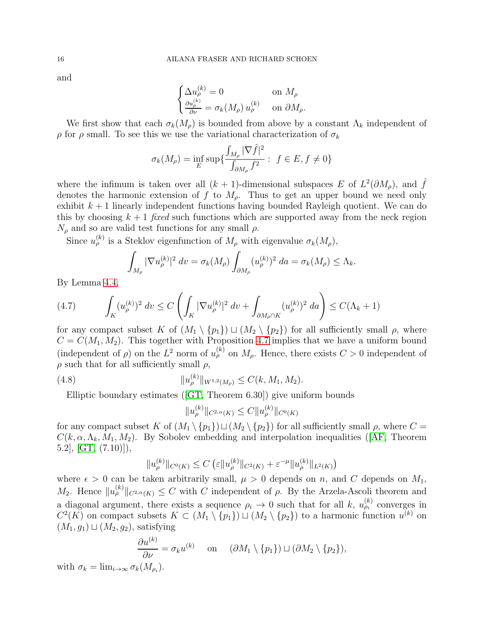and

$$
\begin{cases} \Delta u_{\rho}^{(k)} = 0 & \text{on } M_{\rho} \\ \frac{\partial u_{\rho}^{(k)}}{\partial \nu} = \sigma_k(M_{\rho}) u_{\rho}^{(k)} & \text{on } \partial M_{\rho} . \end{cases}
$$

We first show that each  $\sigma_k(M_\rho)$  is bounded from above by a constant  $\Lambda_k$  independent of  $ρ$  for  $ρ$  small. To see this we use the variational characterization of  $σ<sub>k</sub>$ 

$$
\sigma_k(M_\rho) = \inf_E \sup \{ \frac{\int_{M_\rho} |\nabla \hat{f}|^2}{\int_{\partial M_\rho} f^2} : f \in E, f \neq 0 \}
$$

where the infimum is taken over all  $(k + 1)$ -dimensional subspaces E of  $L^2(\partial M_\rho)$ , and  $\hat{f}$ denotes the harmonic extension of f to  $M_{\rho}$ . Thus to get an upper bound we need only exhibit  $k+1$  linearly independent functions having bounded Rayleigh quotient. We can do this by choosing  $k + 1$  fixed such functions which are supported away from the neck region  $N_\rho$  and so are valid test functions for any small  $\rho$ .

Since  $u_{\rho}^{(k)}$  is a Steklov eigenfunction of  $M_{\rho}$  with eigenvalue  $\sigma_k(M_{\rho})$ ,

$$
\int_{M_{\rho}} |\nabla u_{\rho}^{(k)}|^2 dv = \sigma_k(M_{\rho}) \int_{\partial M_{\rho}} (u_{\rho}^{(k)})^2 da = \sigma_k(M_{\rho}) \leq \Lambda_k.
$$

By Lemma [4.4,](#page-9-1)

$$
(4.7) \qquad \int_K (u_{\rho}^{(k)})^2 \, dv \le C \left( \int_K |\nabla u_{\rho}^{(k)}|^2 \, dv + \int_{\partial M_{\rho} \cap K} (u_{\rho}^{(k)})^2 \, da \right) \le C(\Lambda_k + 1)
$$

for any compact subset K of  $(M_1 \setminus \{p_1\}) \sqcup (M_2 \setminus \{p_2\})$  for all sufficiently small  $\rho$ , where  $C = C(M_1, M_2)$ . This together with Proposition [4.7](#page-14-0) implies that we have a uniform bound (independent of  $\rho$ ) on the  $L^2$  norm of  $u_{\rho}^{(k)}$  on  $M_{\rho}$ . Hence, there exists  $C > 0$  independent of  $\rho$  such that for all sufficiently small  $\rho$ ,

(4.8) 
$$
||u_{\rho}^{(k)}||_{W^{1,2}(M_{\rho})} \leq C(k, M_1, M_2).
$$

Elliptic boundary estimates([\[GT,](#page-23-10) Theorem 6.30]) give uniform bounds

<span id="page-15-0"></span>
$$
||u_{\rho}^{(k)}||_{C^{2,\alpha}(K)} \leq C||u_{\rho}^{(k)}||_{C^{0}(K)}
$$

for any compact subset K of  $(M_1 \setminus \{p_1\}) \sqcup (M_2 \setminus \{p_2\})$  for all sufficiently small  $\rho$ , where  $C =$  $C(k, \alpha, \Lambda_k, M_1, M_2)$  $C(k, \alpha, \Lambda_k, M_1, M_2)$  $C(k, \alpha, \Lambda_k, M_1, M_2)$ . By Sobolev embedding and interpolation inequalities ([\[AF,](#page-23-11) Theorem  $[6.2], [GT, (7.10)],$  $[6.2], [GT, (7.10)],$  $[6.2], [GT, (7.10)],$ 

$$
||u_{\rho}^{(k)}||_{C^{0}(K)} \leq C \left(\varepsilon ||u_{\rho}^{(k)}||_{C^{2}(K)} + \varepsilon^{-\mu} ||u_{\rho}^{(k)}||_{L^{2}(K)}\right)
$$

where  $\epsilon > 0$  can be taken arbitrarily small,  $\mu > 0$  depends on n, and C depends on  $M_1$ , M<sub>2</sub>. Hence  $||u_{\rho}^{(k)}||_{C^{2,\alpha}(K)} \leq C$  with C independent of  $\rho$ . By the Arzela-Ascoli theorem and a diagonal argument, there exists a sequence  $\rho_i \to 0$  such that for all k,  $u_{\rho_i}^{(k)}$  converges in  $C^2(K)$  on compact subsets  $K \subset (M_1 \setminus \{p_1\}) \sqcup (M_2 \setminus \{p_2\})$  to a harmonic function  $u^{(k)}$  on  $(M_1, g_1) \sqcup (M_2, g_2)$ , satisfying

$$
\frac{\partial u^{(k)}}{\partial \nu} = \sigma_k u^{(k)} \quad \text{on} \quad (\partial M_1 \setminus \{p_1\}) \sqcup (\partial M_2 \setminus \{p_2\}),
$$

with  $\sigma_k = \lim_{i \to \infty} \sigma_k(M_{\rho_i}).$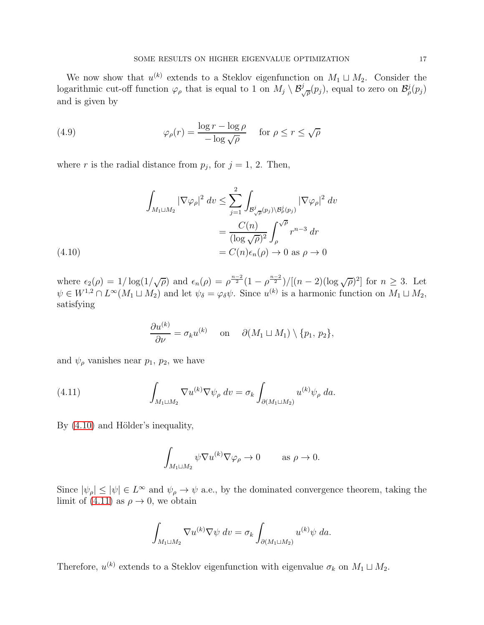We now show that  $u^{(k)}$  extends to a Steklov eigenfunction on  $M_1 \sqcup M_2$ . Consider the logarithmic cut-off function  $\varphi_{\rho}$  that is equal to 1 on  $M_j \setminus \mathcal{B}_{\sqrt{\rho}}^j(p_j)$ , equal to zero on  $\mathcal{B}_{\rho}^j(p_j)$ and is given by

<span id="page-16-2"></span>(4.9) 
$$
\varphi_{\rho}(r) = \frac{\log r - \log \rho}{-\log \sqrt{\rho}} \quad \text{for } \rho \le r \le \sqrt{\rho}
$$

where r is the radial distance from  $p_j$ , for  $j = 1, 2$ . Then,

$$
\int_{M_1 \sqcup M_2} |\nabla \varphi_{\rho}|^2 dv \leq \sum_{j=1}^2 \int_{\mathcal{B}_{\sqrt{\rho}}^j(p_j) \backslash \mathcal{B}_{\rho}^j(p_j)} |\nabla \varphi_{\rho}|^2 dv
$$

$$
= \frac{C(n)}{(\log \sqrt{\rho})^2} \int_{\rho}^{\sqrt{\rho}} r^{n-3} dr
$$

$$
= C(n)\epsilon_n(\rho) \to 0 \text{ as } \rho \to 0
$$

<span id="page-16-0"></span>where  $\epsilon_2(\rho) = 1/\log(1/\sqrt{\rho})$  and  $\epsilon_n(\rho) = \rho^{\frac{n-2}{2}}(1-\rho^{\frac{n-2}{2}})/[(n-2)(\log \sqrt{\rho})^2]$  for  $n \geq 3$ . Let  $\psi \in W^{1,2} \cap L^{\infty}(M_1 \sqcup M_2)$  and let  $\psi_{\delta} = \varphi_{\delta} \psi$ . Since  $u^{(k)}$  is a harmonic function on  $M_1 \sqcup M_2$ , satisfying

$$
\frac{\partial u^{(k)}}{\partial \nu} = \sigma_k u^{(k)} \quad \text{on} \quad \partial(M_1 \sqcup M_1) \setminus \{p_1, p_2\},
$$

and  $\psi_{\rho}$  vanishes near  $p_1$ ,  $p_2$ , we have

(4.11) 
$$
\int_{M_1 \sqcup M_2} \nabla u^{(k)} \nabla \psi_{\rho} dv = \sigma_k \int_{\partial (M_1 \sqcup M_2)} u^{(k)} \psi_{\rho} da.
$$

By  $(4.10)$  and Hölder's inequality,

<span id="page-16-1"></span>
$$
\int_{M_1 \sqcup M_2} \psi \nabla u^{(k)} \nabla \varphi_{\rho} \to 0 \quad \text{as } \rho \to 0.
$$

Since  $|\psi_{\rho}| \leq |\psi| \in L^{\infty}$  and  $\psi_{\rho} \to \psi$  a.e., by the dominated convergence theorem, taking the limit of [\(4.11\)](#page-16-1) as  $\rho \rightarrow 0$ , we obtain

$$
\int_{M_1 \sqcup M_2} \nabla u^{(k)} \nabla \psi \, dv = \sigma_k \int_{\partial (M_1 \sqcup M_2)} u^{(k)} \psi \, da.
$$

Therefore,  $u^{(k)}$  extends to a Steklov eigenfunction with eigenvalue  $\sigma_k$  on  $M_1 \sqcup M_2$ .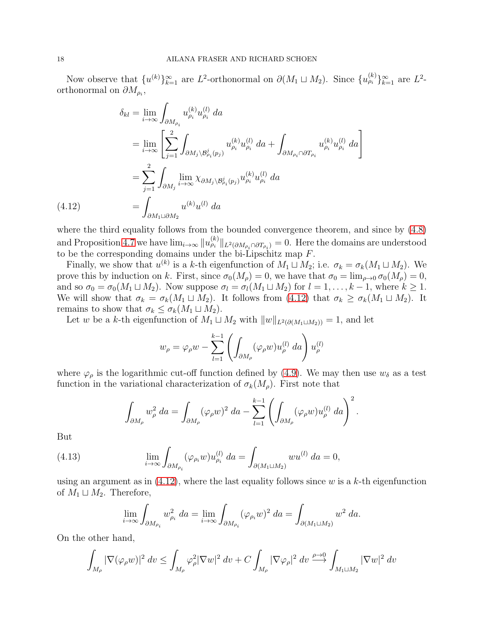Now observe that  $\{u^{(k)}\}_{k=1}^{\infty}$  are  $L^2$ -orthonormal on  $\partial(M_1 \sqcup M_2)$ . Since  $\{u^{(k)}_{\rho_i}\}_{k=1}^{\infty}$  are  $L^2$ orthonormal on  $\partial M_{\rho_i}$ ,

$$
\delta_{kl} = \lim_{i \to \infty} \int_{\partial M_{\rho_i}} u_{\rho_i}^{(k)} u_{\rho_i}^{(l)} da
$$
  
\n
$$
= \lim_{i \to \infty} \left[ \sum_{j=1}^2 \int_{\partial M_j \setminus \mathcal{B}_{\rho_i}^j(p_j)} u_{\rho_i}^{(k)} u_{\rho_i}^{(l)} da + \int_{\partial M_{\rho_i} \cap \partial T_{\rho_i}} u_{\rho_i}^{(k)} u_{\rho_i}^{(l)} da \right]
$$
  
\n
$$
= \sum_{j=1}^2 \int_{\partial M_j} \lim_{i \to \infty} \chi_{\partial M_j \setminus \mathcal{B}_{\rho_i}^j(p_j)} u_{\rho_i}^{(k)} u_{\rho_i}^{(l)} da
$$
  
\n
$$
= \int_{\partial M_1 \sqcup \partial M_2} u^{(k)} u^{(l)} da
$$

where the third equality follows from the bounded convergence theorem, and since by  $(4.8)$ and Proposition [4.7](#page-14-0) we have  $\lim_{i\to\infty}||u_{\rho_i}^{(k)}||_{L^2(\partial M_{\rho_i}\cap \partial T_{\rho_i})}=0$ . Here the domains are understood to be the corresponding domains under the bi-Lipschitz map  $F$ .

Finally, we show that  $u^{(k)}$  is a k-th eigenfunction of  $M_1 \sqcup M_2$ ; i.e.  $\sigma_k = \sigma_k(M_1 \sqcup M_2)$ . We prove this by induction on k. First, since  $\sigma_0(M_\rho) = 0$ , we have that  $\sigma_0 = \lim_{\rho \to 0} \sigma_0(M_\rho) = 0$ , and so  $\sigma_0 = \sigma_0(M_1 \sqcup M_2)$ . Now suppose  $\sigma_l = \sigma_l(M_1 \sqcup M_2)$  for  $l = 1, \ldots, k-1$ , where  $k \geq 1$ . We will show that  $\sigma_k = \sigma_k(M_1 \sqcup M_2)$ . It follows from  $(4.12)$  that  $\sigma_k \geq \sigma_k(M_1 \sqcup M_2)$ . It remains to show that  $\sigma_k \leq \sigma_k(M_1 \sqcup M_2)$ .

Let w be a k-th eigenfunction of  $M_1 \sqcup M_2$  with  $||w||_{L^2(\partial(M_1 \sqcup M_2))} = 1$ , and let

$$
w_{\rho} = \varphi_{\rho} w - \sum_{l=1}^{k-1} \left( \int_{\partial M_{\rho}} (\varphi_{\rho} w) u_{\rho}^{(l)} da \right) u_{\rho}^{(l)}
$$

where  $\varphi_{\rho}$  is the logarithmic cut-off function defined by [\(4.9\)](#page-16-2). We may then use  $w_{\delta}$  as a test function in the variational characterization of  $\sigma_k(M_\rho)$ . First note that

$$
\int_{\partial M_{\rho}} w_{\rho}^2 da = \int_{\partial M_{\rho}} (\varphi_{\rho} w)^2 da - \sum_{l=1}^{k-1} \left( \int_{\partial M_{\rho}} (\varphi_{\rho} w) u_{\rho}^{(l)} da \right)^2.
$$

But

(4.13) 
$$
\lim_{i \to \infty} \int_{\partial M_{\rho_i}} (\varphi_{\rho_i} w) u_{\rho_i}^{(l)} da = \int_{\partial (M_1 \sqcup M_2)} w u^{(l)} da = 0,
$$

using an argument as in  $(4.12)$ , where the last equality follows since w is a k-th eigenfunction of  $M_1 \sqcup M_2$ . Therefore,

<span id="page-17-1"></span>
$$
\lim_{i \to \infty} \int_{\partial M_{\rho_i}} w_{\rho_i}^2 da = \lim_{i \to \infty} \int_{\partial M_{\rho_i}} (\varphi_{\rho_i} w)^2 da = \int_{\partial (M_1 \sqcup M_2)} w^2 da.
$$

On the other hand,

$$
\int_{M_{\rho}} |\nabla(\varphi_{\rho} w)|^2 dv \leq \int_{M_{\rho}} \varphi_{\rho}^2 |\nabla w|^2 dv + C \int_{M_{\rho}} |\nabla \varphi_{\rho}|^2 dv \xrightarrow{\rho \to 0} \int_{M_1 \sqcup M_2} |\nabla w|^2 dv
$$

<span id="page-17-0"></span> $(4.12)$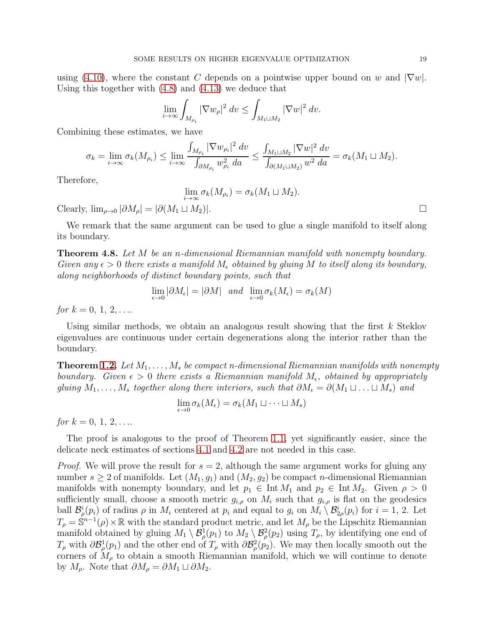using [\(4.10\)](#page-16-0), where the constant C depends on a pointwise upper bound on w and  $|\nabla w|$ . Using this together with [\(4.8\)](#page-15-0) and [\(4.13\)](#page-17-1) we deduce that

$$
\lim_{i \to \infty} \int_{M_{\rho_i}} |\nabla w_{\rho}|^2 dv \le \int_{M_1 \sqcup M_2} |\nabla w|^2 dv.
$$

Combining these estimates, we have

$$
\sigma_k = \lim_{i \to \infty} \sigma_k(M_{\rho_i}) \le \lim_{i \to \infty} \frac{\int_{M_{\rho_i}} |\nabla w_{\rho_i}|^2 dv}{\int_{\partial M_{\rho_i}} w_{\rho_i}^2 da} \le \frac{\int_{M_1 \sqcup M_2} |\nabla w|^2 dv}{\int_{\partial (M_1 \sqcup M_2)} w^2 da} = \sigma_k(M_1 \sqcup M_2).
$$

Therefore,

$$
\lim_{i \to \infty} \sigma_k(M_{\rho_i}) = \sigma_k(M_1 \sqcup M_2).
$$

Clearly,  $\lim_{\rho \to 0} |\partial M_{\rho}| = |\partial (M_1 \sqcup M_2)|$ .

We remark that the same argument can be used to glue a single manifold to itself along its boundary.

<span id="page-18-0"></span>**Theorem 4.8.** Let M be an *n*-dimensional Riemannian manifold with nonempty boundary. Given any  $\epsilon > 0$  there exists a manifold  $M_{\epsilon}$  obtained by gluing M to itself along its boundary, along neighborhoods of distinct boundary points, such that

$$
\lim_{\epsilon \to 0} |\partial M_{\epsilon}| = |\partial M| \quad and \quad \lim_{\epsilon \to 0} \sigma_k(M_{\epsilon}) = \sigma_k(M)
$$

for  $k = 0, 1, 2, \ldots$ 

Using similar methods, we obtain an analogous result showing that the first  $k$  Steklov eigenvalues are continuous under certain degenerations along the interior rather than the boundary.

**Theorem [1.2.](#page-1-1)** Let  $M_1, \ldots, M_s$  be compact n-dimensional Riemannian manifolds with nonempty boundary. Given  $\epsilon > 0$  there exists a Riemannian manifold  $M_{\epsilon}$ , obtained by appropriately gluing  $M_1, \ldots, M_s$  together along there interiors, such that  $\partial M_{\epsilon} = \partial (M_1 \sqcup \ldots \sqcup M_s)$  and

$$
\lim_{\epsilon \to 0} \sigma_k(M_{\epsilon}) = \sigma_k(M_1 \sqcup \dots \sqcup M_s)
$$

for  $k = 0, 1, 2, \ldots$ 

The proof is analogous to the proof of Theorem [1.1,](#page-1-0) yet significantly easier, since the delicate neck estimates of sections [4.1](#page-5-2) and [4.2](#page-11-1) are not needed in this case.

*Proof.* We will prove the result for  $s = 2$ , although the same argument works for gluing any number  $s \geq 2$  of manifolds. Let  $(M_1, g_1)$  and  $(M_2, g_2)$  be compact *n*-dimensional Riemannian manifolds with nonempty boundary, and let  $p_1 \in \text{Int } M_1$  and  $p_2 \in \text{Int } M_2$ . Given  $\rho > 0$ sufficiently small, choose a smooth metric  $g_{i,\rho}$  on  $M_i$  such that  $g_{i,\rho}$  is flat on the geodesics ball  $\mathcal{B}^i_\rho(p_i)$  of radius  $\rho$  in  $M_i$  centered at  $p_i$  and equal to  $g_i$  on  $M_i \setminus \mathcal{B}^i_{2\rho}(p_i)$  for  $i = 1, 2$ . Let  $T_{\rho} = \mathbb{S}^{n-1}(\rho) \times \mathbb{R}$  with the standard product metric, and let  $M_{\rho}$  be the Lipschitz Riemannian manifold obtained by gluing  $M_1 \setminus \mathcal{B}^1_\rho(p_1)$  to  $M_2 \setminus \mathcal{B}^2_\rho(p_2)$  using  $T_\rho$ , by identifying one end of  $T_{\rho}$  with  $\partial \mathcal{B}_{\rho}^{1}(p_{1})$  and the other end of  $T_{\rho}$  with  $\partial \mathcal{B}_{\rho}^{2}(p_{2})$ . We may then locally smooth out the corners of  $M_{\rho}$  to obtain a smooth Riemannian manifold, which we will continue to denote by  $M_\rho$ . Note that  $\partial M_\rho = \partial M_1 \sqcup \partial M_2$ .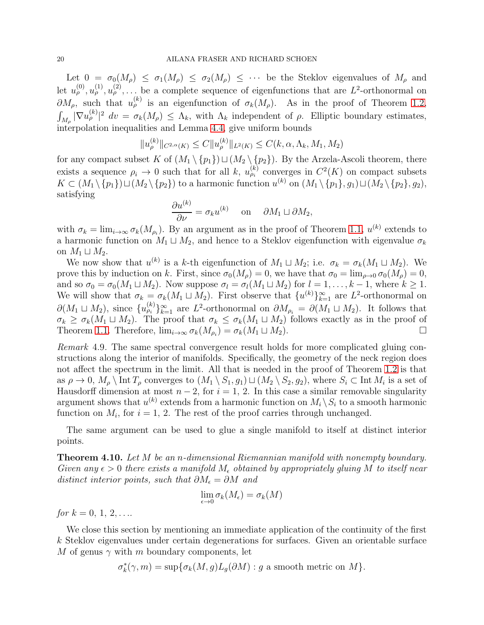Let  $0 = \sigma_0(M_\rho) \leq \sigma_1(M_\rho) \leq \sigma_2(M_\rho) \leq \cdots$  be the Steklov eigenvalues of  $M_\rho$  and let  $u_{\rho}^{(0)}, u_{\rho}^{(1)}, u_{\rho}^{(2)}, \ldots$  be a complete sequence of eigenfunctions that are  $L^2$ -orthonormal on  $\partial M_{\rho}$ , such that  $u_{\rho}^{(k)}$  is an eigenfunction of  $\sigma_k(M_{\rho})$ . As in the proof of Theorem [1.2,](#page-1-1)  $\int_{M_\rho} |\nabla u_\rho^{(k)}|^2 \, dv = \sigma_k(M_\rho) \leq \Lambda_k$ , with  $\Lambda_k$  independent of  $\rho$ . Elliptic boundary estimates, interpolation inequalities and Lemma [4.4,](#page-9-1) give uniform bounds

$$
||u_{\rho}^{(k)}||_{C^{2,\alpha}(K)} \leq C||u_{\rho}^{(k)}||_{L^{2}(K)} \leq C(k, \alpha, \Lambda_{k}, M_{1}, M_{2})
$$

for any compact subset K of  $(M_1 \setminus \{p_1\}) \sqcup (M_2 \setminus \{p_2\})$ . By the Arzela-Ascoli theorem, there exists a sequence  $\rho_i \to 0$  such that for all k,  $u_{\rho_i}^{(k)}$  converges in  $C^2(K)$  on compact subsets  $K \subset (M_1 \setminus \{p_1\}) \sqcup (M_2 \setminus \{p_2\})$  to a harmonic function  $u^{(k)}$  on  $(M_1 \setminus \{p_1\}, g_1) \sqcup (M_2 \setminus \{p_2\}, g_2)$ , satisfying

$$
\frac{\partial u^{(k)}}{\partial \nu} = \sigma_k u^{(k)} \quad \text{on} \quad \partial M_1 \sqcup \partial M_2,
$$

with  $\sigma_k = \lim_{i \to \infty} \sigma_k(M_{\rho_i})$ . By an argument as in the proof of Theorem [1.1,](#page-1-0)  $u^{(k)}$  extends to a harmonic function on  $M_1 \sqcup M_2$ , and hence to a Steklov eigenfunction with eigenvalue  $\sigma_k$ on  $M_1 \sqcup M_2$ .

We now show that  $u^{(k)}$  is a k-th eigenfunction of  $M_1 \sqcup M_2$ ; i.e.  $\sigma_k = \sigma_k(M_1 \sqcup M_2)$ . We prove this by induction on k. First, since  $\sigma_0(M_o) = 0$ , we have that  $\sigma_0 = \lim_{\rho \to 0} \sigma_0(M_o) = 0$ , and so  $\sigma_0 = \sigma_0(M_1 \sqcup M_2)$ . Now suppose  $\sigma_l = \sigma_l(M_1 \sqcup M_2)$  for  $l = 1, \ldots, k-1$ , where  $k \geq 1$ . We will show that  $\sigma_k = \sigma_k(M_1 \sqcup M_2)$ . First observe that  $\{u^{(k)}\}_{k=1}^{\infty}$  are  $L^2$ -orthonormal on  $\partial(M_1 \sqcup M_2)$ , since  $\{u_{\rho_i}^{(k)}\}_{k=1}^{\infty}$  are  $L^2$ -orthonormal on  $\partial M_{\rho_i} = \partial(M_1 \sqcup M_2)$ . It follows that  $\sigma_k \geq \sigma_k(M_1 \sqcup M_2)$ . The proof that  $\sigma_k \leq \sigma_k(M_1 \sqcup M_2)$  follows exactly as in the proof of Theorem 1.1. Therefore,  $\lim_{k \to \infty} \sigma_k(M_0) = \sigma_k(M_1 \sqcup M_2)$ . Theorem [1.1.](#page-1-0) Therefore,  $\lim_{i\to\infty} \sigma_k(M_{\rho_i}) = \sigma_k(M_1 \sqcup M_2)$ .

Remark 4.9. The same spectral convergence result holds for more complicated gluing constructions along the interior of manifolds. Specifically, the geometry of the neck region does not affect the spectrum in the limit. All that is needed in the proof of Theorem [1.2](#page-1-1) is that as  $\rho \to 0$ ,  $M_\rho \setminus \text{Int } T_\rho$  converges to  $(M_1 \setminus S_1, g_1) \sqcup (M_2 \setminus S_2, g_2)$ , where  $S_i \subset \text{Int } M_i$  is a set of Hausdorff dimension at most  $n-2$ , for  $i=1, 2$ . In this case a similar removable singularity argument shows that  $u^{(k)}$  extends from a harmonic function on  $M_i \setminus S_i$  to a smooth harmonic function on  $M_i$ , for  $i = 1, 2$ . The rest of the proof carries through unchanged.

The same argument can be used to glue a single manifold to itself at distinct interior points.

<span id="page-19-0"></span>**Theorem 4.10.** Let M be an n-dimensional Riemannian manifold with nonempty boundary. Given any  $\epsilon > 0$  there exists a manifold  $M_{\epsilon}$  obtained by appropriately gluing M to itself near distinct interior points, such that  $\partial M_{\epsilon} = \partial M$  and

$$
\lim_{\epsilon \to 0} \sigma_k(M_{\epsilon}) = \sigma_k(M)
$$

for  $k = 0, 1, 2, \ldots$ 

We close this section by mentioning an immediate application of the continuity of the first k Steklov eigenvalues under certain degenerations for surfaces. Given an orientable surface M of genus  $\gamma$  with m boundary components, let

$$
\sigma_k^*(\gamma, m) = \sup \{ \sigma_k(M, g) L_g(\partial M) : g \text{ a smooth metric on } M \}.
$$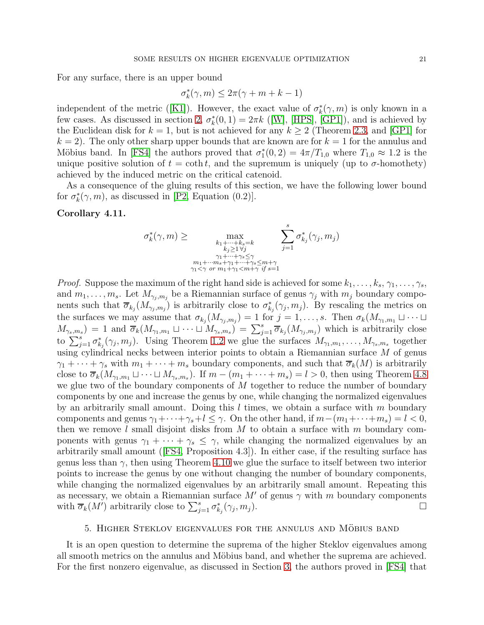For any surface, there is an upper bound

$$
\sigma_k^*(\gamma, m) \le 2\pi(\gamma + m + k - 1)
$$

independentof the metric ([\[K1\]](#page-24-5)). However, the exact value of  $\sigma_k^*(\gamma, m)$  is only known in a few cases. As discussed in section [2,](#page-2-3)  $\sigma_k^*(0,1) = 2\pi k$  ([\[W\]](#page-24-0), [\[HPS\]](#page-24-2), [\[GP1\]](#page-24-1)), and is achieved by the Euclidean disk for  $k = 1$ , but is not achieved for any  $k \geq 2$  (Theorem [2.3,](#page-2-2) and [\[GP1\]](#page-24-1) for  $k = 2$ . The only other sharp upper bounds that are known are for  $k = 1$  for the annulus and Möbius band. In [\[FS4\]](#page-23-2) the authors proved that  $\sigma_1^*(0, 2) = 4\pi/T_{1,0}$  where  $T_{1,0} \approx 1.2$  is the unique positive solution of  $t = \coth t$ , and the supremum is uniquely (up to  $\sigma$ -homothety) achieved by the induced metric on the critical catenoid.

As a consequence of the gluing results of this section, we have the following lower bound for  $\sigma_k^*(\gamma, m)$ , as discussed in [\[P2,](#page-24-4) Equation (0.2)].

# <span id="page-20-0"></span>Corollary 4.11.

$$
\sigma_k^*(\gamma, m) \ge \max_{\substack{k_1 + \dots + k_s = k \\ k_j \ge 1 \forall j \\ \gamma_1 + \dots + \gamma_s \le \gamma \\ \gamma_1 < \gamma \text{ or } m_1 + \gamma_1 < m + \gamma \text{ if } s = 1}} \sum_{j=1}^s \sigma_{k_j}^*(\gamma_j, m_j)
$$

*Proof.* Suppose the maximum of the right hand side is achieved for some  $k_1, \ldots, k_s, \gamma_1, \ldots, \gamma_s$ , and  $m_1, \ldots, m_s$ . Let  $M_{\gamma_j,m_j}$  be a Riemannian surface of genus  $\gamma_j$  with  $m_j$  boundary components such that  $\overline{\sigma}_{k_j}(M_{\gamma_j,m_j})$  is arbitrarily close to  $\sigma_{k_j}^*(\gamma_j,m_j)$ . By rescaling the metrics on the surfaces we may assume that  $\sigma_{k_j}(M_{\gamma_j,m_j}) = 1$  for  $j = 1, \ldots, s$ . Then  $\sigma_k(M_{\gamma_1,m_1} \sqcup \cdots \sqcup$  $M_{\gamma_s,m_s}$  = 1 and  $\overline{\sigma}_k(M_{\gamma_1,m_1}\sqcup \cdots \sqcup M_{\gamma_s,m_s}) = \sum_{j=1}^s \overline{\sigma}_{k_j}(M_{\gamma_j,m_j})$  which is arbitrarily close to  $\sum_{j=1}^s \sigma_{k_j}^*(\gamma_j, m_j)$ . Using Theorem [1.2](#page-1-1) we glue the surfaces  $M_{\gamma_1,m_1}, \ldots, M_{\gamma_s,m_s}$  together using cylindrical necks between interior points to obtain a Riemannian surface M of genus  $\gamma_1 + \cdots + \gamma_s$  with  $m_1 + \cdots + m_s$  boundary components, and such that  $\overline{\sigma}_k(M)$  is arbitrarily close to  $\overline{\sigma}_k(M_{\gamma_1,m_1}\sqcup\cdots\sqcup M_{\gamma_s,m_s})$ . If  $m-(m_1+\cdots+m_s)=l>0$ , then using Theorem [4.8](#page-18-0) we glue two of the boundary components of M together to reduce the number of boundary components by one and increase the genus by one, while changing the normalized eigenvalues by an arbitrarily small amount. Doing this  $l$  times, we obtain a surface with  $m$  boundary components and genus  $\gamma_1 + \cdots + \gamma_s + l \leq \gamma$ . On the other hand, if  $m - (m_1 + \cdots + m_s) = l < 0$ , then we remove  $l$  small disjoint disks from  $M$  to obtain a surface with  $m$  boundary components with genus  $\gamma_1 + \cdots + \gamma_s \leq \gamma$ , while changing the normalized eigenvalues by an arbitrarily small amount([\[FS4,](#page-23-2) Proposition 4.3]). In either case, if the resulting surface has genus less than  $\gamma$ , then using Theorem [4.10](#page-19-0) we glue the surface to itself between two interior points to increase the genus by one without changing the number of boundary components, while changing the normalized eigenvalues by an arbitrarily small amount. Repeating this as necessary, we obtain a Riemannian surface  $M'$  of genus  $\gamma$  with m boundary components with  $\overline{\sigma}_k(M')$  arbitrarily close to  $\sum_{j=1}^s \sigma_{k_j}^*(\gamma_j, m_j)$ .

#### 5. HIGHER STEKLOV EIGENVALUES FOR THE ANNULUS AND MÖBIUS BAND

It is an open question to determine the suprema of the higher Steklov eigenvalues among all smooth metrics on the annulus and Möbius band, and whether the suprema are achieved. For the first nonzero eigenvalue, as discussed in Section [3,](#page-3-2) the authors proved in [\[FS4\]](#page-23-2) that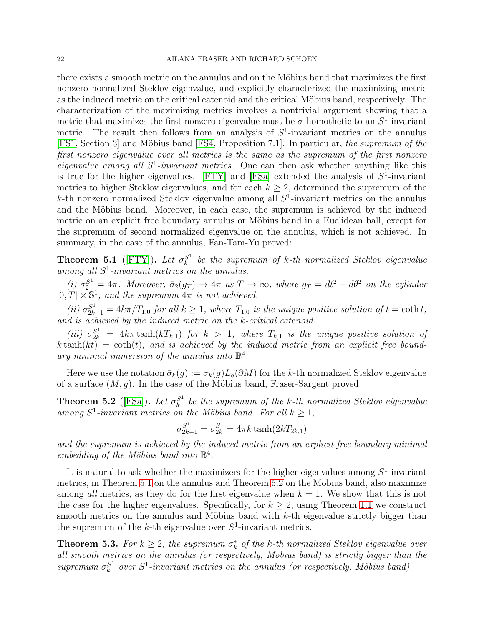there exists a smooth metric on the annulus and on the Möbius band that maximizes the first nonzero normalized Steklov eigenvalue, and explicitly characterized the maximizing metric as the induced metric on the critical catenoid and the critical Möbius band, respectively. The characterization of the maximizing metrics involves a nontrivial argument showing that a metric that maximizes the first nonzero eigenvalue must be  $\sigma$ -homothetic to an  $S^1$ -invariant metric. The result then follows from an analysis of  $S<sup>1</sup>$ -invariant metrics on the annulus [\[FS1,](#page-23-12) Section 3] and Möbius band [\[FS4,](#page-23-2) Proposition 7.1]. In particular, the supremum of the first nonzero eigenvalue over all metrics is the same as the supremum of the first nonzero eigenvalue among all  $S^1$ -invariant metrics. One can then ask whether anything like this is true for the higher eigenvalues. [\[FTY\]](#page-23-4) and [\[FSa\]](#page-23-5) extended the analysis of  $S^1$ -invariant metrics to higher Steklov eigenvalues, and for each  $k \geq 2$ , determined the supremum of the  $k$ -th nonzero normalized Steklov eigenvalue among all  $S<sup>1</sup>$ -invariant metrics on the annulus and the Möbius band. Moreover, in each case, the supremum is achieved by the induced metric on an explicit free boundary annulus or Möbius band in a Euclidean ball, except for the supremum of second normalized eigenvalue on the annulus, which is not achieved. In summary, in the case of the annulus, Fan-Tam-Yu proved:

<span id="page-21-0"></span>**Theorem 5.1** ([\[FTY\]](#page-23-4)). Let  $\sigma_k^{S^1}$  $\frac{S^1}{k}$  be the supremum of k-th normalized Steklov eigenvalue among all  $S^1$ -invariant metrics on the annulus.

(i)  $\sigma_2^{S^1} = 4\pi$ . Moreover,  $\bar{\sigma}_2(g_T) \rightarrow 4\pi$  as  $T \rightarrow \infty$ , where  $g_T = dt^2 + d\theta^2$  on the cylinder  $[0, T] \times \mathbb{S}^1$ , and the supremum  $4\pi$  is not achieved.

(ii)  $\sigma_{2k-1}^{S^1} = 4k\pi/T_{1,0}$  for all  $k \geq 1$ , where  $T_{1,0}$  is the unique positive solution of  $t = \coth t$ , and is achieved by the induced metric on the k-critical catenoid.

(iii)  $\sigma_{2k}^{S^1} = 4k\pi \tanh(kT_{k,1})$  for  $k > 1$ , where  $T_{k,1}$  is the unique positive solution of  $k \tanh(kt) = \coth(t)$ , and is achieved by the induced metric from an explicit free boundary minimal immersion of the annulus into  $\mathbb{B}^4$ .

Here we use the notation  $\bar{\sigma}_k(g) := \sigma_k(g)L_g(\partial M)$  for the k-th normalized Steklov eigenvalue of a surface  $(M, g)$ . In the case of the Möbius band, Fraser-Sargent proved:

<span id="page-21-1"></span>Theorem 5.2 ([\[FSa\]](#page-23-5)). Let  $\sigma_k^{S^1}$  $\frac{S^1}{k}$  be the supremum of the k-th normalized Steklov eigenvalue among  $S^1$ -invariant metrics on the Möbius band. For all  $k \geq 1$ ,

$$
\sigma_{2k-1}^{S^1} = \sigma_{2k}^{S^1} = 4\pi k \tanh(2kT_{2k,1})
$$

and the supremum is achieved by the induced metric from an explicit free boundary minimal embedding of the Möbius band into  $\mathbb{B}^4$ .

It is natural to ask whether the maximizers for the higher eigenvalues among  $S^1$ -invariant metrics, in Theorem [5.1](#page-21-0) on the annulus and Theorem [5.2](#page-21-1) on the Möbius band, also maximize among all metrics, as they do for the first eigenvalue when  $k = 1$ . We show that this is not the case for the higher eigenvalues. Specifically, for  $k \geq 2$ , using Theorem [1.1](#page-1-0) we construct smooth metrics on the annulus and Möbius band with  $k$ -th eigenvalue strictly bigger than the supremum of the  $k$ -th eigenvalue over  $S^1$ -invariant metrics.

**Theorem 5.3.** For  $k \geq 2$ , the supremum  $\sigma_k^*$  of the k-th normalized Steklov eigenvalue over all smooth metrics on the annulus (or respectively, Möbius band) is strictly bigger than the supremum  $\sigma_k^{S^1}$  $s<sup>1</sup>$  over  $S<sup>1</sup>$ -invariant metrics on the annulus (or respectively, Möbius band).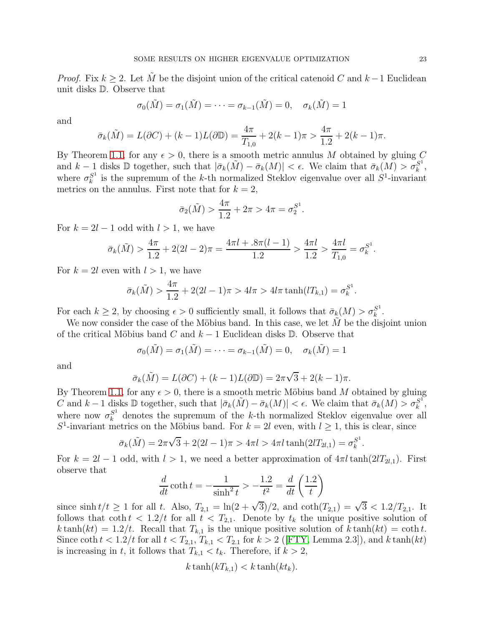*Proof.* Fix  $k > 2$ . Let  $\tilde{M}$  be the disjoint union of the critical catenoid C and  $k-1$  Euclidean unit disks D. Observe that

$$
\sigma_0(\tilde{M}) = \sigma_1(\tilde{M}) = \cdots = \sigma_{k-1}(\tilde{M}) = 0, \quad \sigma_k(\tilde{M}) = 1
$$

and

$$
\bar{\sigma}_k(\tilde{M}) = L(\partial C) + (k-1)L(\partial \mathbb{D}) = \frac{4\pi}{T_{1,0}} + 2(k-1)\pi > \frac{4\pi}{1.2} + 2(k-1)\pi.
$$

By Theorem [1.1,](#page-1-0) for any  $\epsilon > 0$ , there is a smooth metric annulus M obtained by gluing C and  $k-1$  disks D together, such that  $|\bar{\sigma}_k(\tilde{M}) - \bar{\sigma}_k(M)| < \epsilon$ . We claim that  $\bar{\sigma}_k(M) > \sigma_k^{S^1}$  $\frac{S^1}{k}$ , where  $\sigma_k^{S^1}$  $s<sub>k</sub><sup>S<sub>1</sub></sup>$  is the supremum of the k-th normalized Steklov eigenvalue over all  $S<sup>1</sup>$ -invariant metrics on the annulus. First note that for  $k = 2$ ,

$$
\bar{\sigma}_2(\tilde{M}) > \frac{4\pi}{1.2} + 2\pi > 4\pi = \sigma_2^{S^1}.
$$

For  $k = 2l - 1$  odd with  $l > 1$ , we have

$$
\bar{\sigma}_k(\tilde{M}) > \frac{4\pi}{1.2} + 2(2l - 2)\pi = \frac{4\pi l + .8\pi(l - 1)}{1.2} > \frac{4\pi l}{1.2} > \frac{4\pi l}{T_{1,0}} = \sigma_k^{S^1}.
$$

For  $k = 2l$  even with  $l > 1$ , we have

$$
\bar{\sigma}_k(\tilde{M}) > \frac{4\pi}{1.2} + 2(2l - 1)\pi > 4l\pi > 4l\pi \tanh(lT_{k,1}) = \sigma_k^{S^1}.
$$

For each  $k \geq 2$ , by choosing  $\epsilon > 0$  sufficiently small, it follows that  $\bar{\sigma}_k(M) > \sigma_k^{S^1}$  $\frac{S^1}{k}$ .

We now consider the case of the Möbius band. In this case, we let  $M$  be the disjoint union of the critical Möbius band C and  $k-1$  Euclidean disks D. Observe that

$$
\sigma_0(\tilde{M}) = \sigma_1(\tilde{M}) = \cdots = \sigma_{k-1}(\tilde{M}) = 0, \quad \sigma_k(\tilde{M}) = 1
$$

and

$$
\bar{\sigma}_k(\tilde{M}) = L(\partial C) + (k-1)L(\partial \mathbb{D}) = 2\pi\sqrt{3} + 2(k-1)\pi.
$$

By Theorem [1.1,](#page-1-0) for any  $\epsilon > 0$ , there is a smooth metric Möbius band M obtained by gluing C and  $k-1$  disks D together, such that  $|\bar{\sigma}_k(\tilde{M}) - \bar{\sigma}_k(M)| < \epsilon$ . We claim that  $\bar{\sigma}_k(M) > \sigma_k^{S^1}$  $\frac{S^1}{k}$ , where now  $\sigma_k^{S^1}$  denotes the supremum of the k-th normalized Steklov eigenvalue over all  $S^1$ -invariant metrics on the Möbius band. For  $k = 2l$  even, with  $l \geq 1$ , this is clear, since

$$
\bar{\sigma}_k(\tilde{M}) = 2\pi\sqrt{3} + 2(2l - 1)\pi > 4\pi l > 4\pi l \tanh(2lT_{2l,1}) = \sigma_k^{S^1}.
$$

For  $k = 2l - 1$  odd, with  $l > 1$ , we need a better approximation of  $4\pi l \tanh(2lT_{2l,1})$ . First observe that

$$
\frac{d}{dt}\coth t = -\frac{1}{\sinh^2 t} > -\frac{1.2}{t^2} = \frac{d}{dt}\left(\frac{1.2}{t}\right)
$$

since  $\sinh t/t \ge 1$  for all t. Also,  $T_{2,1} = \ln(2 + \sqrt{3})/2$ , and  $\coth(T_{2,1}) = \sqrt{3} < 1.2/T_{2,1}$ . It follows that  $\coth t < 1.2/t$  for all  $t < T_{2,1}$ . Denote by  $t_k$  the unique positive solution of  $k \tanh(kt) = 1.2/t$ . Recall that  $T_{k,1}$  is the unique positive solution of  $k \tanh(kt) = \coth t$ . Since $\coth t < 1.2/t$  for all  $t < T_{2,1}, T_{k,1} < T_{2,1}$  for  $k > 2$  ([\[FTY,](#page-23-4) Lemma 2.3]), and k tanh(kt) is increasing in t, it follows that  $T_{k,1} < t_k$ . Therefore, if  $k > 2$ ,

$$
k \tanh(kT_{k,1}) < k \tanh(kt_k).
$$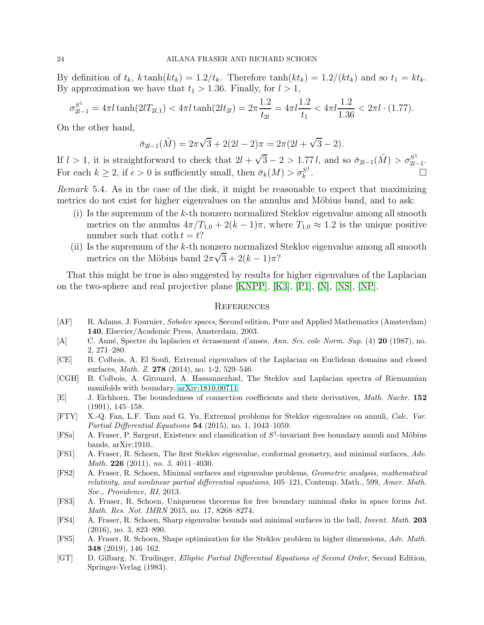By definition of  $t_k$ ,  $k \tanh(kt_k) = 1.2/t_k$ . Therefore  $\tanh(kt_k) = 1.2/(kt_k)$  and so  $t_1 = kt_k$ . By approximation we have that  $t_1 > 1.36$ . Finally, for  $l > 1$ ,

$$
\sigma_{2l-1}^{S^1} = 4\pi l \tanh(2l_{2l,1}) < 4\pi l \tanh(2l_{2l}) = 2\pi \frac{1.2}{t_{2l}} = 4\pi l \frac{1.2}{t_1} < 4\pi l \frac{1.2}{1.36} < 2\pi l \cdot (1.77).
$$

On the other hand,

$$
\bar{\sigma}_{2l-1}(\tilde{M}) = 2\pi\sqrt{3} + 2(2l - 2)\pi = 2\pi(2l + \sqrt{3} - 2).
$$

If  $l > 1$ , it is straightforward to check that  $2l + \sqrt{3} - 2 > 1.77 l$ , and so  $\bar{\sigma}_{2l-1}(\tilde{M}) > \sigma_{2l}^{S^1}$  $\frac{S^1}{2l-1}$ . For each  $k \geq 2$ , if  $\epsilon > 0$  is sufficiently small, then  $\bar{\sigma}_k(M) > \sigma_k^{S^1}$ k . — Первый процесс в постановки программа в серверном становки производительно становки производите с производ<br>В серверном становки производительно становки производительно становки производительно становки производительн

Remark 5.4. As in the case of the disk, it might be reasonable to expect that maximizing metrics do not exist for higher eigenvalues on the annulus and Möbius band, and to ask:

- (i) Is the supremum of the k-th nonzero normalized Steklov eigenvalue among all smooth metrics on the annulus  $4\pi/T_{1,0} + 2(k-1)\pi$ , where  $T_{1,0} \approx 1.2$  is the unique positive number such that  $\coth t = t$ ?
- (ii) Is the supremum of the  $k$ -th nonzero normalized Steklov eigenvalue among all smooth metrics on the Möbius band  $2\pi\sqrt{3} + 2(k-1)\pi$ ?

That this might be true is also suggested by results for higher eigenvalues of the Laplacian on the two-sphere and real projective plane [\[KNPP\]](#page-24-10), [\[K3\]](#page-24-11), [\[P1\]](#page-24-12), [\[N\]](#page-24-13), [\[NS\]](#page-24-14), [\[NP\]](#page-24-15).

#### **REFERENCES**

- <span id="page-23-11"></span>[AF] R. Adams, J. Fournier, Sobolev spaces, Second edition, Pure and Applied Mathematics (Amsterdam) 140, Elsevier/Academic Press, Amsterdam, 2003.
- <span id="page-23-6"></span>[A] C. Anné, Spectre du laplacien et écrasement d'anses, Ann. Sci. cole Norm. Sup. (4) 20 (1987), no. 2, 271–280.
- <span id="page-23-7"></span>[CE] B. Colbois, A. El Soufi, Extremal eigenvalues of the Laplacian on Euclidean domains and closed surfaces, Math. Z. 278 (2014), no. 1-2, 529–546.
- <span id="page-23-3"></span>[CGH] B. Colbois, A. Girouard, A. Hassannezhad, The Steklov and Laplacian spectra of Riemannian manifolds with boundary, [arXiv:1810.00711.](http://arxiv.org/abs/1810.00711)
- <span id="page-23-8"></span>[E] J. Eichhorn, The boundedness of connection coefficients and their derivatives, Math. Nachr. 152 (1991), 145–158.
- <span id="page-23-4"></span>[FTY] X.-Q. Fan, L.F. Tam and G. Yu, Extremal problems for Steklov eigenvalues on annuli, Calc. Var. Partial Differential Equations 54 (2015), no. 1, 1043–1059.
- <span id="page-23-5"></span>[FSa] A. Fraser, P. Sargent, Existence and classification of  $S^1$ -invariant free boundary annuli and Möbius bands, arXiv:1910..
- <span id="page-23-12"></span>[FS1] A. Fraser, R. Schoen, The first Steklov eigenvalue, conformal geometry, and minimal surfaces, Adv. Math. **226** (2011), no. 5, 4011-4030.
- <span id="page-23-1"></span>[FS2] A. Fraser, R. Schoen, Minimal surfaces and eigenvalue problems, Geometric analysis, mathematical relativity, and nonlinear partial differential equations, 105–121, Contemp. Math., 599, Amer. Math. Soc., Providence, RI, 2013.
- <span id="page-23-0"></span>[FS3] A. Fraser, R. Schoen, Uniqueness theorems for free boundary minimal disks in space forms Int. Math. Res. Not. IMRN 2015, no. 17, 8268–8274.
- <span id="page-23-2"></span>[FS4] A. Fraser, R. Schoen, Sharp eigenvalue bounds and minimal surfaces in the ball, Invent. Math. 203 (2016), no. 3, 823–890.
- <span id="page-23-9"></span>[FS5] A. Fraser, R. Schoen, Shape optimization for the Steklov problem in higher dimensions, Adv. Math. 348 (2019), 146–162.
- <span id="page-23-10"></span>[GT] D. Gilbarg, N. Trudinger, Elliptic Partial Differential Equations of Second Order, Second Edition, Springer-Verlag (1983).